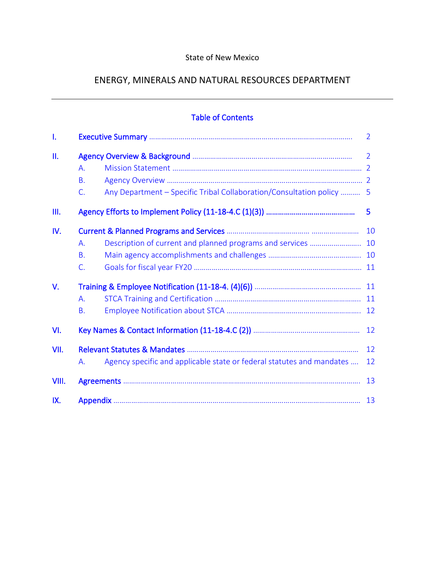# State of New Mexico

# ENERGY, MINERALS AND NATURAL RESOURCES DEPARTMENT

|       |                       | <b>Table of Contents</b>                                              |                |
|-------|-----------------------|-----------------------------------------------------------------------|----------------|
| 1.    |                       |                                                                       | $\overline{2}$ |
| II.   | А.<br><b>B.</b><br>C. | Any Department - Specific Tribal Collaboration/Consultation policy  5 | $\overline{2}$ |
| III.  |                       |                                                                       | 5              |
| IV.   | A.<br><b>B.</b><br>C. | Description of current and planned programs and services  10          | 10             |
| V.    | A.<br><b>B.</b>       |                                                                       |                |
| VI.   |                       |                                                                       | 12             |
| VII.  | Α.                    | Agency specific and applicable state or federal statutes and mandates | 12<br>12       |
| VIII. |                       |                                                                       | 13             |
| IX.   |                       | 13                                                                    |                |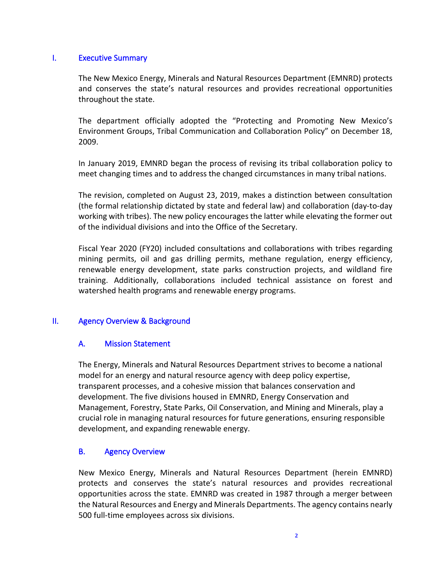### I. Executive Summary

The New Mexico Energy, Minerals and Natural Resources Department (EMNRD) protects and conserves the state's natural resources and provides recreational opportunities throughout the state.

The department officially adopted the "Protecting and Promoting New Mexico's Environment Groups, Tribal Communication and Collaboration Policy" on December 18, 2009.

In January 2019, EMNRD began the process of revising its tribal collaboration policy to meet changing times and to address the changed circumstances in many tribal nations.

The revision, completed on August 23, 2019, makes a distinction between consultation (the formal relationship dictated by state and federal law) and collaboration (day-to-day working with tribes). The new policy encourages the latter while elevating the former out of the individual divisions and into the Office of the Secretary.

Fiscal Year 2020 (FY20) included consultations and collaborations with tribes regarding mining permits, oil and gas drilling permits, methane regulation, energy efficiency, renewable energy development, state parks construction projects, and wildland fire training. Additionally, collaborations included technical assistance on forest and watershed health programs and renewable energy programs.

# II. Agency Overview & Background

### A. Mission Statement

The Energy, Minerals and Natural Resources Department strives to become a national model for an energy and natural resource agency with deep policy expertise, transparent processes, and a cohesive mission that balances conservation and development. The five divisions housed in EMNRD, Energy Conservation and Management, Forestry, State Parks, Oil Conservation, and Mining and Minerals, play a crucial role in managing natural resources for future generations, ensuring responsible development, and expanding renewable energy.

### B. Agency Overview

New Mexico Energy, Minerals and Natural Resources Department (herein EMNRD) protects and conserves the state's natural resources and provides recreational opportunities across the state. EMNRD was created in 1987 through a merger between the Natural Resources and Energy and Minerals Departments. The agency contains nearly 500 full-time employees across six divisions.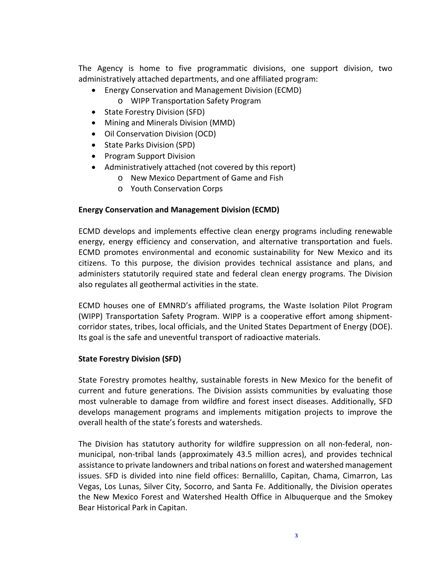The Agency is home to five programmatic divisions, one support division, two administratively attached departments, and one affiliated program:

- Energy Conservation and Management Division (ECMD)
	- o WIPP Transportation Safety Program
- State Forestry Division (SFD)
- Mining and Minerals Division (MMD)
- Oil Conservation Division (OCD)
- State Parks Division (SPD)
- Program Support Division
- Administratively attached (not covered by this report)
	- o New Mexico Department of Game and Fish
	- o Youth Conservation Corps

### **Energy Conservation and Management Division (ECMD)**

ECMD develops and implements effective clean energy programs including renewable energy, energy efficiency and conservation, and alternative transportation and fuels. ECMD promotes environmental and economic sustainability for New Mexico and its citizens. To this purpose, the division provides technical assistance and plans, and administers statutorily required state and federal clean energy programs. The Division also regulates all geothermal activities in the state.

ECMD houses one of EMNRD's affiliated programs, the Waste Isolation Pilot Program (WIPP) Transportation Safety Program. WIPP is a cooperative effort among shipmentcorridor states, tribes, local officials, and the United States Department of Energy (DOE). Its goal is the safe and uneventful transport of radioactive materials.

### **State Forestry Division (SFD)**

State Forestry promotes healthy, sustainable forests in New Mexico for the benefit of current and future generations. The Division assists communities by evaluating those most vulnerable to damage from wildfire and forest insect diseases. Additionally, SFD develops management programs and implements mitigation projects to improve the overall health of the state's forests and watersheds.

The Division has statutory authority for wildfire suppression on all non-federal, nonmunicipal, non-tribal lands (approximately 43.5 million acres), and provides technical assistance to private landowners and tribal nations on forest and watershed management issues. SFD is divided into nine field offices: Bernalillo, Capitan, Chama, Cimarron, Las Vegas, Los Lunas, Silver City, Socorro, and Santa Fe. Additionally, the Division operates the New Mexico Forest and Watershed Health Office in Albuquerque and the Smokey Bear Historical Park in Capitan.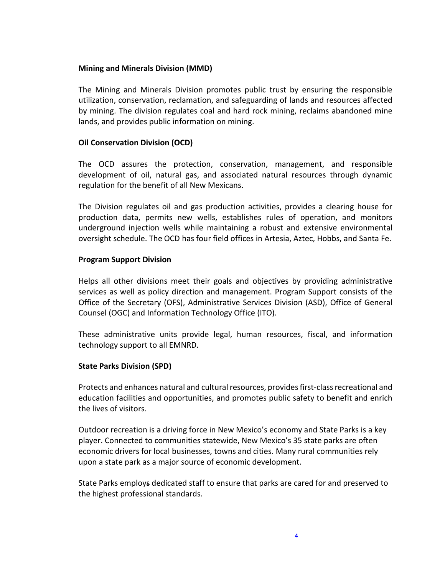### **Mining and Minerals Division (MMD)**

The Mining and Minerals Division promotes public trust by ensuring the responsible utilization, conservation, reclamation, and safeguarding of lands and resources affected by mining. The division regulates coal and hard rock mining, reclaims abandoned mine lands, and provides public information on mining.

### **Oil Conservation Division (OCD)**

The OCD assures the protection, conservation, management, and responsible development of oil, natural gas, and associated natural resources through dynamic regulation for the benefit of all New Mexicans.

The Division regulates oil and gas production activities, provides a clearing house for production data, permits new wells, establishes rules of operation, and monitors underground injection wells while maintaining a robust and extensive environmental oversight schedule. The OCD has four field offices in Artesia, Aztec, Hobbs, and Santa Fe.

#### **Program Support Division**

Helps all other divisions meet their goals and objectives by providing administrative services as well as policy direction and management. Program Support consists of the Office of the Secretary (OFS), Administrative Services Division (ASD), Office of General Counsel (OGC) and Information Technology Office (ITO).

These administrative units provide legal, human resources, fiscal, and information technology support to all EMNRD.

#### **State Parks Division (SPD)**

Protects and enhances natural and cultural resources, provides first-class recreational and education facilities and opportunities, and promotes public safety to benefit and enrich the lives of visitors.

Outdoor recreation is a driving force in New Mexico's economy and State Parks is a key player. Connected to communities statewide, New Mexico's 35 state parks are often economic drivers for local businesses, towns and cities. Many rural communities rely upon a state park as a major source of economic development.

State Parks employs dedicated staff to ensure that parks are cared for and preserved to the highest professional standards.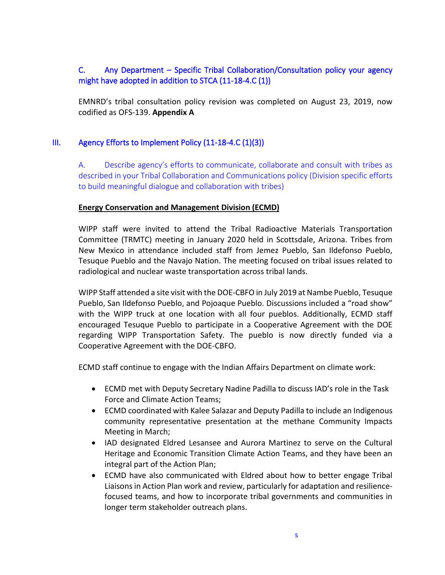# C. Any Department – Specific Tribal Collaboration/Consultation policy your agency might have adopted in addition to STCA (11-18-4.C (1))

EMNRD's tribal consultation policy revision was completed on August 23, 2019, now codified as OFS-139. **Appendix A**

# III. Agency Efforts to Implement Policy (11-18-4.C (1)(3))

A. Describe agency's efforts to communicate, collaborate and consult with tribes as described in your Tribal Collaboration and Communications policy (Division specific efforts to build meaningful dialogue and collaboration with tribes)

### **Energy Conservation and Management Division (ECMD)**

WIPP staff were invited to attend the Tribal Radioactive Materials Transportation Committee (TRMTC) meeting in January 2020 held in Scottsdale, Arizona. Tribes from New Mexico in attendance included staff from Jemez Pueblo, San Ildefonso Pueblo, Tesuque Pueblo and the Navajo Nation. The meeting focused on tribal issues related to radiological and nuclear waste transportation across tribal lands.

WIPP Staff attended a site visit with the DOE-CBFO in July 2019 at Nambe Pueblo, Tesuque Pueblo, San Ildefonso Pueblo, and Pojoaque Pueblo. Discussions included a "road show" with the WIPP truck at one location with all four pueblos. Additionally, ECMD staff encouraged Tesuque Pueblo to participate in a Cooperative Agreement with the DOE regarding WIPP Transportation Safety. The pueblo is now directly funded via a Cooperative Agreement with the DOE-CBFO.

ECMD staff continue to engage with the Indian Affairs Department on climate work:

- ECMD met with Deputy Secretary Nadine Padilla to discuss IAD's role in the Task Force and Climate Action Teams;
- ECMD coordinated with Kalee Salazar and Deputy Padilla to include an Indigenous community representative presentation at the methane Community Impacts Meeting in March;
- IAD designated Eldred Lesansee and Aurora Martinez to serve on the Cultural Heritage and Economic Transition Climate Action Teams, and they have been an integral part of the Action Plan;
- ECMD have also communicated with Eldred about how to better engage Tribal Liaisons in Action Plan work and review, particularly for adaptation and resiliencefocused teams, and how to incorporate tribal governments and communities in longer term stakeholder outreach plans.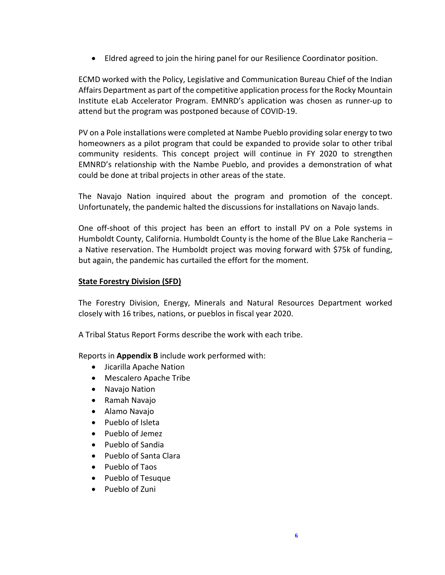• Eldred agreed to join the hiring panel for our Resilience Coordinator position.

ECMD worked with the Policy, Legislative and Communication Bureau Chief of the Indian Affairs Department as part of the competitive application process for the Rocky Mountain Institute eLab Accelerator Program. EMNRD's application was chosen as runner-up to attend but the program was postponed because of COVID-19.

PV on a Pole installations were completed at Nambe Pueblo providing solar energy to two homeowners as a pilot program that could be expanded to provide solar to other tribal community residents. This concept project will continue in FY 2020 to strengthen EMNRD's relationship with the Nambe Pueblo, and provides a demonstration of what could be done at tribal projects in other areas of the state.

The Navajo Nation inquired about the program and promotion of the concept. Unfortunately, the pandemic halted the discussions for installations on Navajo lands.

One off-shoot of this project has been an effort to install PV on a Pole systems in Humboldt County, California. Humboldt County is the home of the Blue Lake Rancheria – a Native reservation. The Humboldt project was moving forward with \$75k of funding, but again, the pandemic has curtailed the effort for the moment.

### **State Forestry Division (SFD)**

The Forestry Division, Energy, Minerals and Natural Resources Department worked closely with 16 tribes, nations, or pueblos in fiscal year 2020.

A Tribal Status Report Forms describe the work with each tribe.

Reports in **Appendix B** include work performed with:

- Jicarilla Apache Nation
- Mescalero Apache Tribe
- Navajo Nation
- Ramah Navajo
- Alamo Navajo
- Pueblo of Isleta
- Pueblo of Jemez
- Pueblo of Sandia
- Pueblo of Santa Clara
- Pueblo of Taos
- Pueblo of Tesuque
- Pueblo of Zuni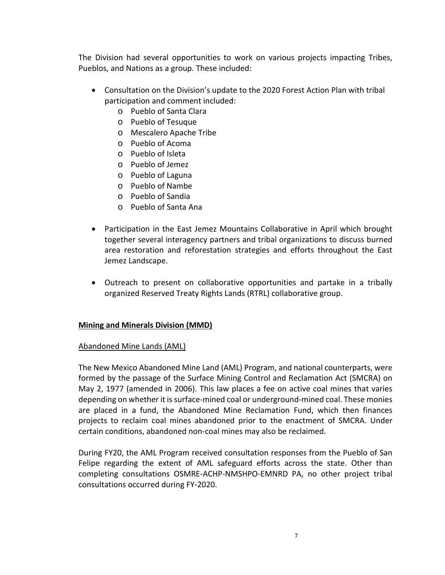The Division had several opportunities to work on various projects impacting Tribes, Pueblos, and Nations as a group. These included:

- Consultation on the Division's update to the 2020 Forest Action Plan with tribal participation and comment included:
	- o Pueblo of Santa Clara
	- o Pueblo of Tesuque
	- o Mescalero Apache Tribe
	- o Pueblo of Acoma
	- o Pueblo of Isleta
	- o Pueblo of Jemez
	- o Pueblo of Laguna
	- o Pueblo of Nambe
	- o Pueblo of Sandia
	- o Pueblo of Santa Ana
- Participation in the East Jemez Mountains Collaborative in April which brought together several interagency partners and tribal organizations to discuss burned area restoration and reforestation strategies and efforts throughout the East Jemez Landscape.
- Outreach to present on collaborative opportunities and partake in a tribally organized Reserved Treaty Rights Lands (RTRL) collaborative group.

# **Mining and Minerals Division (MMD)**

# Abandoned Mine Lands (AML)

The New Mexico Abandoned Mine Land (AML) Program, and national counterparts, were formed by the passage of the Surface Mining Control and Reclamation Act (SMCRA) on May 2, 1977 (amended in 2006). This law places a fee on active coal mines that varies depending on whether it is surface-mined coal or underground-mined coal. These monies are placed in a fund, the Abandoned Mine Reclamation Fund, which then finances projects to reclaim coal mines abandoned prior to the enactment of SMCRA. Under certain conditions, abandoned non-coal mines may also be reclaimed.

During FY20, the AML Program received consultation responses from the Pueblo of San Felipe regarding the extent of AML safeguard efforts across the state. Other than completing consultations OSMRE-ACHP-NMSHPO-EMNRD PA, no other project tribal consultations occurred during FY-2020.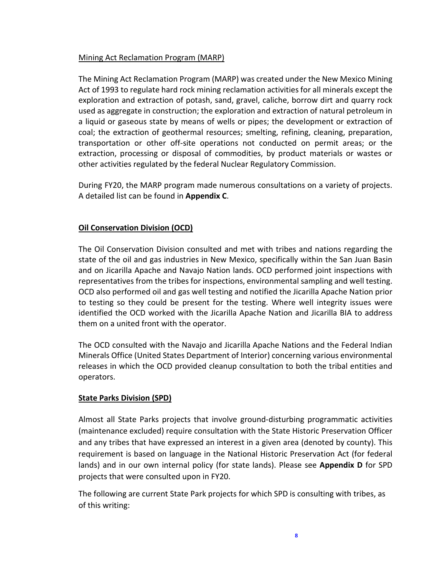## Mining Act Reclamation Program (MARP)

The Mining Act Reclamation Program (MARP) was created under the New Mexico Mining Act of 1993 to regulate hard rock mining reclamation activities for all minerals except the exploration and extraction of potash, sand, gravel, caliche, borrow dirt and quarry rock used as aggregate in construction; the exploration and extraction of natural petroleum in a liquid or gaseous state by means of wells or pipes; the development or extraction of coal; the extraction of geothermal resources; smelting, refining, cleaning, preparation, transportation or other off-site operations not conducted on permit areas; or the extraction, processing or disposal of commodities, by product materials or wastes or other activities regulated by the federal Nuclear Regulatory Commission.

During FY20, the MARP program made numerous consultations on a variety of projects. A detailed list can be found in **Appendix C**.

# **Oil Conservation Division (OCD)**

The Oil Conservation Division consulted and met with tribes and nations regarding the state of the oil and gas industries in New Mexico, specifically within the San Juan Basin and on Jicarilla Apache and Navajo Nation lands. OCD performed joint inspections with representatives from the tribes for inspections, environmental sampling and well testing. OCD also performed oil and gas well testing and notified the Jicarilla Apache Nation prior to testing so they could be present for the testing. Where well integrity issues were identified the OCD worked with the Jicarilla Apache Nation and Jicarilla BIA to address them on a united front with the operator.

The OCD consulted with the Navajo and Jicarilla Apache Nations and the Federal Indian Minerals Office (United States Department of Interior) concerning various environmental releases in which the OCD provided cleanup consultation to both the tribal entities and operators.

# **State Parks Division (SPD)**

Almost all State Parks projects that involve ground-disturbing programmatic activities (maintenance excluded) require consultation with the State Historic Preservation Officer and any tribes that have expressed an interest in a given area (denoted by county). This requirement is based on language in the National Historic Preservation Act (for federal lands) and in our own internal policy (for state lands). Please see **Appendix D** for SPD projects that were consulted upon in FY20.

The following are current State Park projects for which SPD is consulting with tribes, as of this writing: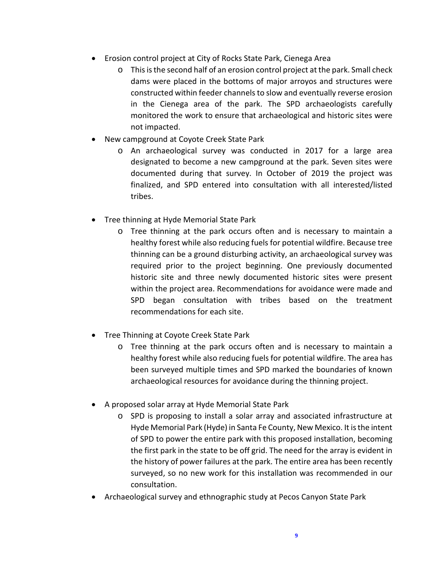- Erosion control project at City of Rocks State Park, Cienega Area
	- o This is the second half of an erosion control project at the park. Small check dams were placed in the bottoms of major arroyos and structures were constructed within feeder channels to slow and eventually reverse erosion in the Cienega area of the park. The SPD archaeologists carefully monitored the work to ensure that archaeological and historic sites were not impacted.
- New campground at Coyote Creek State Park
	- o An archaeological survey was conducted in 2017 for a large area designated to become a new campground at the park. Seven sites were documented during that survey. In October of 2019 the project was finalized, and SPD entered into consultation with all interested/listed tribes.
- Tree thinning at Hyde Memorial State Park
	- o Tree thinning at the park occurs often and is necessary to maintain a healthy forest while also reducing fuels for potential wildfire. Because tree thinning can be a ground disturbing activity, an archaeological survey was required prior to the project beginning. One previously documented historic site and three newly documented historic sites were present within the project area. Recommendations for avoidance were made and SPD began consultation with tribes based on the treatment recommendations for each site.
- Tree Thinning at Coyote Creek State Park
	- o Tree thinning at the park occurs often and is necessary to maintain a healthy forest while also reducing fuels for potential wildfire. The area has been surveyed multiple times and SPD marked the boundaries of known archaeological resources for avoidance during the thinning project.
- A proposed solar array at Hyde Memorial State Park
	- o SPD is proposing to install a solar array and associated infrastructure at Hyde Memorial Park (Hyde) in Santa Fe County, New Mexico. It is the intent of SPD to power the entire park with this proposed installation, becoming the first park in the state to be off grid. The need for the array is evident in the history of power failures at the park. The entire area has been recently surveyed, so no new work for this installation was recommended in our consultation.
- Archaeological survey and ethnographic study at Pecos Canyon State Park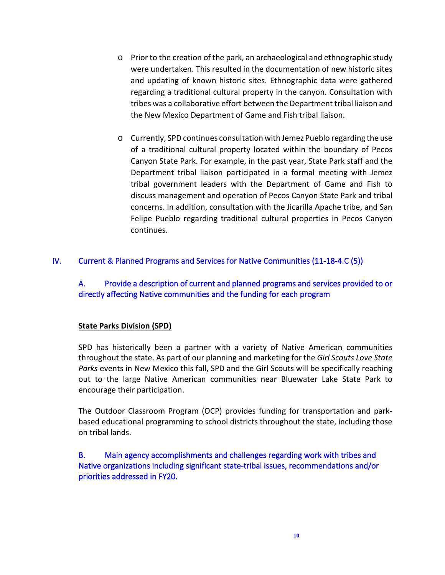- o Prior to the creation of the park, an archaeological and ethnographic study were undertaken. This resulted in the documentation of new historic sites and updating of known historic sites. Ethnographic data were gathered regarding a traditional cultural property in the canyon. Consultation with tribes was a collaborative effort between the Department tribal liaison and the New Mexico Department of Game and Fish tribal liaison.
- o Currently, SPD continues consultation with Jemez Pueblo regarding the use of a traditional cultural property located within the boundary of Pecos Canyon State Park. For example, in the past year, State Park staff and the Department tribal liaison participated in a formal meeting with Jemez tribal government leaders with the Department of Game and Fish to discuss management and operation of Pecos Canyon State Park and tribal concerns. In addition, consultation with the Jicarilla Apache tribe, and San Felipe Pueblo regarding traditional cultural properties in Pecos Canyon continues.

# IV. Current & Planned Programs and Services for Native Communities (11-18-4.C (5))

# A. Provide a description of current and planned programs and services provided to or directly affecting Native communities and the funding for each program

# **State Parks Division (SPD)**

SPD has historically been a partner with a variety of Native American communities throughout the state. As part of our planning and marketing for the *Girl Scouts Love State Parks* events in New Mexico this fall, SPD and the Girl Scouts will be specifically reaching out to the large Native American communities near Bluewater Lake State Park to encourage their participation.

The Outdoor Classroom Program (OCP) provides funding for transportation and parkbased educational programming to school districts throughout the state, including those on tribal lands.

# B. Main agency accomplishments and challenges regarding work with tribes and Native organizations including significant state-tribal issues, recommendations and/or priorities addressed in FY20.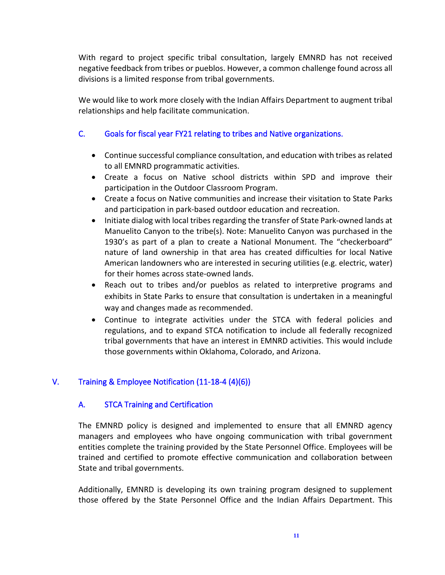With regard to project specific tribal consultation, largely EMNRD has not received negative feedback from tribes or pueblos. However, a common challenge found across all divisions is a limited response from tribal governments.

We would like to work more closely with the Indian Affairs Department to augment tribal relationships and help facilitate communication.

# C. Goals for fiscal year FY21 relating to tribes and Native organizations.

- Continue successful compliance consultation, and education with tribes as related to all EMNRD programmatic activities.
- Create a focus on Native school districts within SPD and improve their participation in the Outdoor Classroom Program.
- Create a focus on Native communities and increase their visitation to State Parks and participation in park-based outdoor education and recreation.
- Initiate dialog with local tribes regarding the transfer of State Park-owned lands at Manuelito Canyon to the tribe(s). Note: Manuelito Canyon was purchased in the 1930's as part of a plan to create a National Monument. The "checkerboard" nature of land ownership in that area has created difficulties for local Native American landowners who are interested in securing utilities (e.g. electric, water) for their homes across state-owned lands.
- Reach out to tribes and/or pueblos as related to interpretive programs and exhibits in State Parks to ensure that consultation is undertaken in a meaningful way and changes made as recommended.
- Continue to integrate activities under the STCA with federal policies and regulations, and to expand STCA notification to include all federally recognized tribal governments that have an interest in EMNRD activities. This would include those governments within Oklahoma, Colorado, and Arizona.

# V. Training & Employee Notification (11-18-4 (4)(6))

# A. STCA Training and Certification

The EMNRD policy is designed and implemented to ensure that all EMNRD agency managers and employees who have ongoing communication with tribal government entities complete the training provided by the State Personnel Office. Employees will be trained and certified to promote effective communication and collaboration between State and tribal governments.

Additionally, EMNRD is developing its own training program designed to supplement those offered by the State Personnel Office and the Indian Affairs Department. This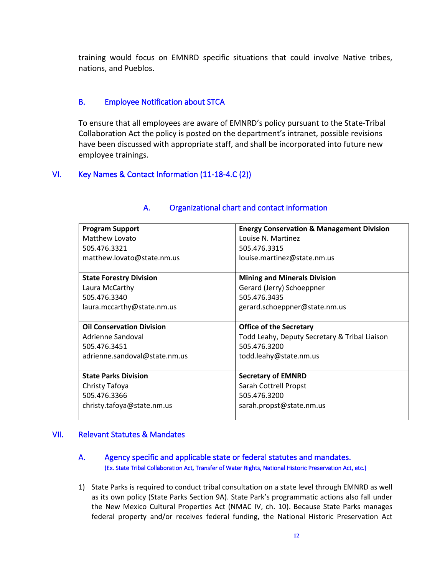training would focus on EMNRD specific situations that could involve Native tribes, nations, and Pueblos.

## B. Employee Notification about STCA

To ensure that all employees are aware of EMNRD's policy pursuant to the State-Tribal Collaboration Act the policy is posted on the department's intranet, possible revisions have been discussed with appropriate staff, and shall be incorporated into future new employee trainings.

## VI. Key Names & Contact Information (11-18-4.C (2))

| <b>Program Support</b>           | <b>Energy Conservation &amp; Management Division</b> |
|----------------------------------|------------------------------------------------------|
| Matthew Lovato                   | Louise N. Martinez                                   |
| 505.476.3321                     | 505.476.3315                                         |
| matthew.lovato@state.nm.us       | louise.martinez@state.nm.us                          |
|                                  |                                                      |
| <b>State Forestry Division</b>   | <b>Mining and Minerals Division</b>                  |
| Laura McCarthy                   | Gerard (Jerry) Schoeppner                            |
| 505.476.3340                     | 505.476.3435                                         |
| laura.mccarthy@state.nm.us       | gerard.schoeppner@state.nm.us                        |
|                                  |                                                      |
|                                  |                                                      |
| <b>Oil Conservation Division</b> | <b>Office of the Secretary</b>                       |
| Adrienne Sandoval                | Todd Leahy, Deputy Secretary & Tribal Liaison        |
| 505.476.3451                     | 505.476.3200                                         |
| adrienne.sandoval@state.nm.us    | todd.leahy@state.nm.us                               |
|                                  |                                                      |
| <b>State Parks Division</b>      | <b>Secretary of EMNRD</b>                            |
| Christy Tafoya                   | Sarah Cottrell Propst                                |
| 505.476.3366                     | 505.476.3200                                         |
| christy.tafoya@state.nm.us       | sarah.propst@state.nm.us                             |

## A. Organizational chart and contact information

### VII. Relevant Statutes & Mandates

## A. Agency specific and applicable state or federal statutes and mandates. (Ex. State Tribal Collaboration Act, Transfer of Water Rights, National Historic Preservation Act, etc.)

1) State Parks is required to conduct tribal consultation on a state level through EMNRD as well as its own policy (State Parks Section 9A). State Park's programmatic actions also fall under the New Mexico Cultural Properties Act (NMAC IV, ch. 10). Because State Parks manages federal property and/or receives federal funding, the National Historic Preservation Act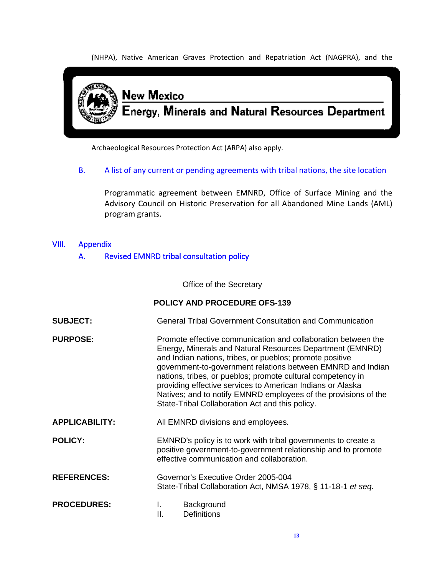(NHPA), Native American Graves Protection and Repatriation Act (NAGPRA), and the



Archaeological Resources Protection Act (ARPA) also apply.

B. A list of any current or pending agreements with tribal nations, the site location

Programmatic agreement between EMNRD, Office of Surface Mining and the Advisory Council on Historic Preservation for all Abandoned Mine Lands (AML) program grants.

# VIII. Appendix

## A. Revised EMNRD tribal consultation policy

Office of the Secretary

### **POLICY AND PROCEDURE OFS-139**

- **SUBJECT:** General Tribal Government Consultation and Communication
- **PURPOSE:** Promote effective communication and collaboration between the Energy, Minerals and Natural Resources Department (EMNRD) and Indian nations, tribes, or pueblos; promote positive government-to-government relations between EMNRD and Indian nations, tribes, or pueblos; promote cultural competency in providing effective services to American Indians or Alaska Natives; and to notify EMNRD employees of the provisions of the State-Tribal Collaboration Act and this policy.
- **APPLICABILITY:** All EMNRD divisions and employees.
- **POLICY:** EMNRD's policy is to work with tribal governments to create a positive government-to-government relationship and to promote effective communication and collaboration.
- **REFERENCES:** Governor's Executive Order 2005-004 State-Tribal Collaboration Act, NMSA 1978, § 11-18-1 *et seq*.

| <b>PROCEDURES:</b> | Background         |
|--------------------|--------------------|
|                    | <b>Definitions</b> |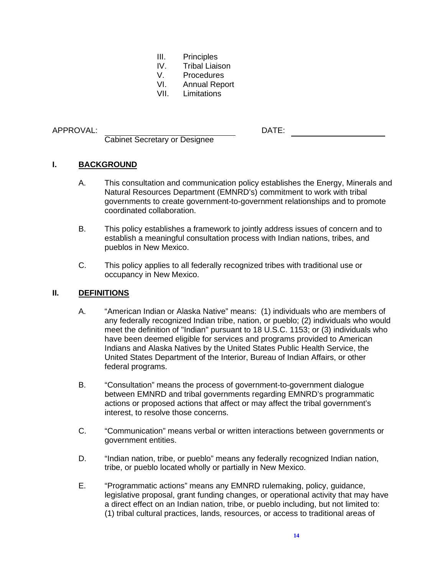- III. Principles
- IV. Tribal Liaison
- V. Procedures<br>VI. Annual Repe
- VI. Annual Report<br>VII. Limitations
- **Limitations**

#### APPROVAL: DATE:

Cabinet Secretary or Designee

## **I. BACKGROUND**

- A. This consultation and communication policy establishes the Energy, Minerals and Natural Resources Department (EMNRD's) commitment to work with tribal governments to create government-to-government relationships and to promote coordinated collaboration.
- B. This policy establishes a framework to jointly address issues of concern and to establish a meaningful consultation process with Indian nations, tribes, and pueblos in New Mexico.
- C. This policy applies to all federally recognized tribes with traditional use or occupancy in New Mexico.

### **II. DEFINITIONS**

- A. "American Indian or Alaska Native" means: (1) individuals who are members of any federally recognized Indian tribe, nation, or pueblo; (2) individuals who would meet the definition of "Indian" pursuant to 18 U.S.C. 1153; or (3) individuals who have been deemed eligible for services and programs provided to American Indians and Alaska Natives by the United States Public Health Service, the United States Department of the Interior, Bureau of Indian Affairs, or other federal programs.
- B. "Consultation" means the process of government-to-government dialogue between EMNRD and tribal governments regarding EMNRD's programmatic actions or proposed actions that affect or may affect the tribal government's interest, to resolve those concerns.
- C. "Communication" means verbal or written interactions between governments or government entities.
- D. "Indian nation, tribe, or pueblo" means any federally recognized Indian nation, tribe, or pueblo located wholly or partially in New Mexico.
- E. "Programmatic actions" means any EMNRD rulemaking, policy, guidance, legislative proposal, grant funding changes, or operational activity that may have a direct effect on an Indian nation, tribe, or pueblo including, but not limited to: (1) tribal cultural practices, lands, resources, or access to traditional areas of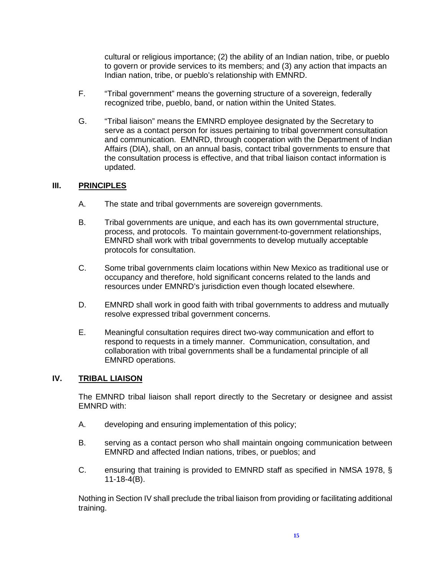cultural or religious importance; (2) the ability of an Indian nation, tribe, or pueblo to govern or provide services to its members; and (3) any action that impacts an Indian nation, tribe, or pueblo's relationship with EMNRD.

- F. "Tribal government" means the governing structure of a sovereign, federally recognized tribe, pueblo, band, or nation within the United States.
- G. "Tribal liaison" means the EMNRD employee designated by the Secretary to serve as a contact person for issues pertaining to tribal government consultation and communication. EMNRD, through cooperation with the Department of Indian Affairs (DIA), shall, on an annual basis, contact tribal governments to ensure that the consultation process is effective, and that tribal liaison contact information is updated.

## **III. PRINCIPLES**

- A. The state and tribal governments are sovereign governments.
- B. Tribal governments are unique, and each has its own governmental structure, process, and protocols. To maintain government-to-government relationships, EMNRD shall work with tribal governments to develop mutually acceptable protocols for consultation.
- C. Some tribal governments claim locations within New Mexico as traditional use or occupancy and therefore, hold significant concerns related to the lands and resources under EMNRD's jurisdiction even though located elsewhere.
- D. EMNRD shall work in good faith with tribal governments to address and mutually resolve expressed tribal government concerns.
- E. Meaningful consultation requires direct two-way communication and effort to respond to requests in a timely manner. Communication, consultation, and collaboration with tribal governments shall be a fundamental principle of all EMNRD operations.

### **IV. TRIBAL LIAISON**

The EMNRD tribal liaison shall report directly to the Secretary or designee and assist EMNRD with:

- A. developing and ensuring implementation of this policy;
- B. serving as a contact person who shall maintain ongoing communication between EMNRD and affected Indian nations, tribes, or pueblos; and
- C. ensuring that training is provided to EMNRD staff as specified in NMSA 1978, § 11-18-4(B).

Nothing in Section IV shall preclude the tribal liaison from providing or facilitating additional training.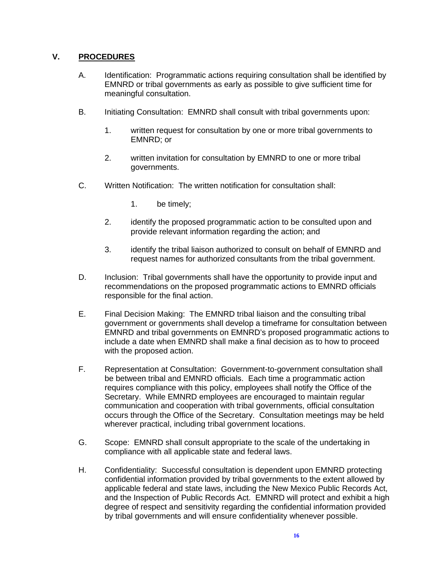## **V. PROCEDURES**

- A. Identification: Programmatic actions requiring consultation shall be identified by EMNRD or tribal governments as early as possible to give sufficient time for meaningful consultation.
- B. Initiating Consultation: EMNRD shall consult with tribal governments upon:
	- 1. written request for consultation by one or more tribal governments to EMNRD; or
	- 2. written invitation for consultation by EMNRD to one or more tribal governments.
- C. Written Notification: The written notification for consultation shall:
	- 1. be timely;
	- 2. identify the proposed programmatic action to be consulted upon and provide relevant information regarding the action; and
	- 3. identify the tribal liaison authorized to consult on behalf of EMNRD and request names for authorized consultants from the tribal government.
- D. Inclusion: Tribal governments shall have the opportunity to provide input and recommendations on the proposed programmatic actions to EMNRD officials responsible for the final action.
- E. Final Decision Making: The EMNRD tribal liaison and the consulting tribal government or governments shall develop a timeframe for consultation between EMNRD and tribal governments on EMNRD's proposed programmatic actions to include a date when EMNRD shall make a final decision as to how to proceed with the proposed action.
- F. Representation at Consultation: Government-to-government consultation shall be between tribal and EMNRD officials. Each time a programmatic action requires compliance with this policy, employees shall notify the Office of the Secretary. While EMNRD employees are encouraged to maintain regular communication and cooperation with tribal governments, official consultation occurs through the Office of the Secretary. Consultation meetings may be held wherever practical, including tribal government locations.
- G. Scope: EMNRD shall consult appropriate to the scale of the undertaking in compliance with all applicable state and federal laws.
- H. Confidentiality: Successful consultation is dependent upon EMNRD protecting confidential information provided by tribal governments to the extent allowed by applicable federal and state laws, including the New Mexico Public Records Act, and the Inspection of Public Records Act. EMNRD will protect and exhibit a high degree of respect and sensitivity regarding the confidential information provided by tribal governments and will ensure confidentiality whenever possible.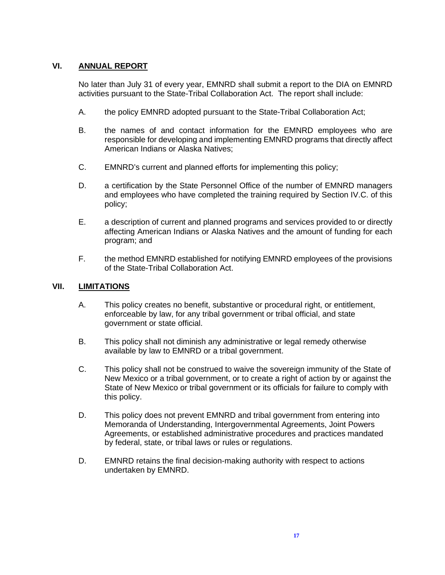## **VI. ANNUAL REPORT**

No later than July 31 of every year, EMNRD shall submit a report to the DIA on EMNRD activities pursuant to the State-Tribal Collaboration Act. The report shall include:

- A. the policy EMNRD adopted pursuant to the State-Tribal Collaboration Act;
- B. the names of and contact information for the EMNRD employees who are responsible for developing and implementing EMNRD programs that directly affect American Indians or Alaska Natives;
- C. EMNRD's current and planned efforts for implementing this policy;
- D. a certification by the State Personnel Office of the number of EMNRD managers and employees who have completed the training required by Section IV.C. of this policy;
- E. a description of current and planned programs and services provided to or directly affecting American Indians or Alaska Natives and the amount of funding for each program; and
- F. the method EMNRD established for notifying EMNRD employees of the provisions of the State-Tribal Collaboration Act.

#### **VII. LIMITATIONS**

- A. This policy creates no benefit, substantive or procedural right, or entitlement, enforceable by law, for any tribal government or tribal official, and state government or state official.
- B. This policy shall not diminish any administrative or legal remedy otherwise available by law to EMNRD or a tribal government.
- C. This policy shall not be construed to waive the sovereign immunity of the State of New Mexico or a tribal government, or to create a right of action by or against the State of New Mexico or tribal government or its officials for failure to comply with this policy.
- D. This policy does not prevent EMNRD and tribal government from entering into Memoranda of Understanding, Intergovernmental Agreements, Joint Powers Agreements, or established administrative procedures and practices mandated by federal, state, or tribal laws or rules or regulations.
- D. EMNRD retains the final decision-making authority with respect to actions undertaken by EMNRD.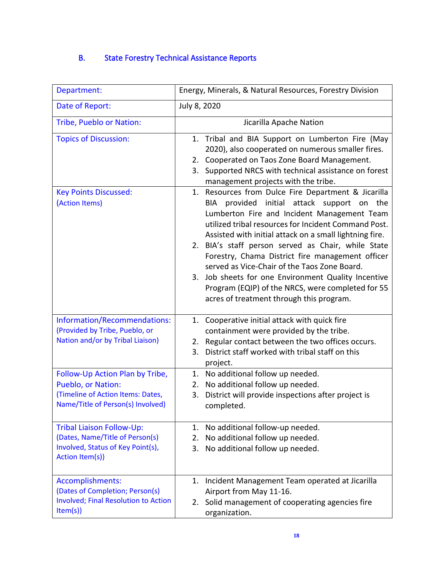# B. State Forestry Technical Assistance Reports

| Department:                                                                                                                     | Energy, Minerals, & Natural Resources, Forestry Division                                                                                                                                                                                                                                                                                                                                                                                                                                                                                                                              |
|---------------------------------------------------------------------------------------------------------------------------------|---------------------------------------------------------------------------------------------------------------------------------------------------------------------------------------------------------------------------------------------------------------------------------------------------------------------------------------------------------------------------------------------------------------------------------------------------------------------------------------------------------------------------------------------------------------------------------------|
| Date of Report:                                                                                                                 | July 8, 2020                                                                                                                                                                                                                                                                                                                                                                                                                                                                                                                                                                          |
| Tribe, Pueblo or Nation:                                                                                                        | Jicarilla Apache Nation                                                                                                                                                                                                                                                                                                                                                                                                                                                                                                                                                               |
| <b>Topics of Discussion:</b>                                                                                                    | Tribal and BIA Support on Lumberton Fire (May<br>1.<br>2020), also cooperated on numerous smaller fires.<br>2. Cooperated on Taos Zone Board Management.<br>Supported NRCS with technical assistance on forest<br>3.<br>management projects with the tribe.                                                                                                                                                                                                                                                                                                                           |
| <b>Key Points Discussed:</b><br>(Action Items)                                                                                  | 1. Resources from Dulce Fire Department & Jicarilla<br>BIA provided initial attack support on the<br>Lumberton Fire and Incident Management Team<br>utilized tribal resources for Incident Command Post.<br>Assisted with initial attack on a small lightning fire.<br>2. BIA's staff person served as Chair, while State<br>Forestry, Chama District fire management officer<br>served as Vice-Chair of the Taos Zone Board.<br>3. Job sheets for one Environment Quality Incentive<br>Program (EQIP) of the NRCS, were completed for 55<br>acres of treatment through this program. |
| Information/Recommendations:<br>(Provided by Tribe, Pueblo, or<br>Nation and/or by Tribal Liaison)                              | 1. Cooperative initial attack with quick fire<br>containment were provided by the tribe.<br>Regular contact between the two offices occurs.<br>2.<br>District staff worked with tribal staff on this<br>3.<br>project.                                                                                                                                                                                                                                                                                                                                                                |
| Follow-Up Action Plan by Tribe,<br>Pueblo, or Nation:<br>(Timeline of Action Items: Dates,<br>Name/Title of Person(s) Involved) | 1. No additional follow up needed.<br>No additional follow up needed.<br>2.<br>District will provide inspections after project is<br>3.<br>completed.                                                                                                                                                                                                                                                                                                                                                                                                                                 |
| <b>Tribal Liaison Follow-Up:</b><br>(Dates, Name/Title of Person(s)<br>Involved, Status of Key Point(s),<br>Action Item(s))     | No additional follow-up needed.<br>1.<br>No additional follow up needed.<br>2.<br>No additional follow up needed.<br>3.                                                                                                                                                                                                                                                                                                                                                                                                                                                               |
| Accomplishments:<br>(Dates of Completion; Person(s)<br><b>Involved; Final Resolution to Action</b><br>Item(s)                   | Incident Management Team operated at Jicarilla<br>1.<br>Airport from May 11-16.<br>Solid management of cooperating agencies fire<br>2.<br>organization.                                                                                                                                                                                                                                                                                                                                                                                                                               |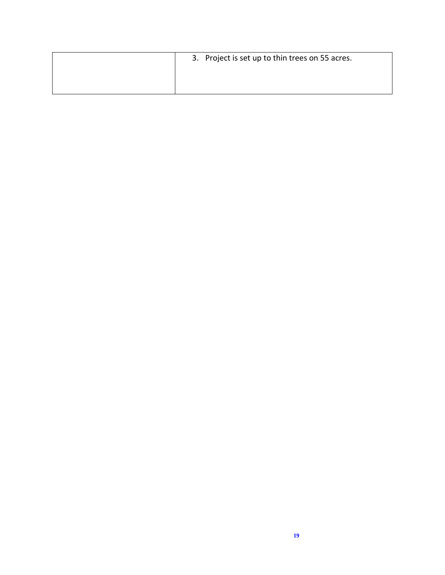| 3. Project is set up to thin trees on 55 acres. |
|-------------------------------------------------|
|                                                 |
|                                                 |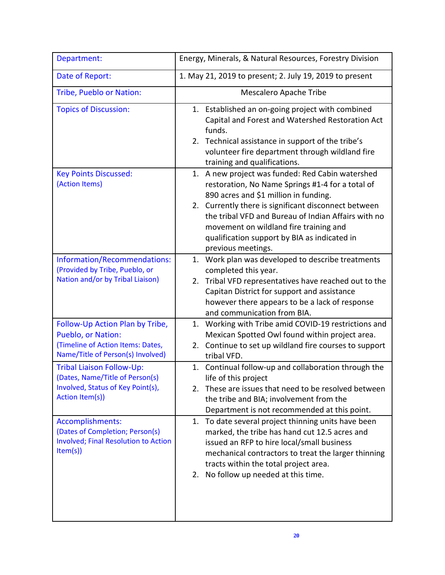| Department:                                                                                                                     | Energy, Minerals, & Natural Resources, Forestry Division                                                                                                                                                                                                                                                                                                                     |
|---------------------------------------------------------------------------------------------------------------------------------|------------------------------------------------------------------------------------------------------------------------------------------------------------------------------------------------------------------------------------------------------------------------------------------------------------------------------------------------------------------------------|
| Date of Report:                                                                                                                 | 1. May 21, 2019 to present; 2. July 19, 2019 to present                                                                                                                                                                                                                                                                                                                      |
| Tribe, Pueblo or Nation:                                                                                                        | <b>Mescalero Apache Tribe</b>                                                                                                                                                                                                                                                                                                                                                |
| <b>Topics of Discussion:</b>                                                                                                    | 1. Established an on-going project with combined<br>Capital and Forest and Watershed Restoration Act<br>funds.<br>2. Technical assistance in support of the tribe's<br>volunteer fire department through wildland fire<br>training and qualifications.                                                                                                                       |
| <b>Key Points Discussed:</b><br>(Action Items)                                                                                  | 1. A new project was funded: Red Cabin watershed<br>restoration, No Name Springs #1-4 for a total of<br>890 acres and \$1 million in funding.<br>2. Currently there is significant disconnect between<br>the tribal VFD and Bureau of Indian Affairs with no<br>movement on wildland fire training and<br>qualification support by BIA as indicated in<br>previous meetings. |
| Information/Recommendations:<br>(Provided by Tribe, Pueblo, or<br>Nation and/or by Tribal Liaison)                              | 1. Work plan was developed to describe treatments<br>completed this year.<br>Tribal VFD representatives have reached out to the<br>2.<br>Capitan District for support and assistance<br>however there appears to be a lack of response<br>and communication from BIA.                                                                                                        |
| Follow-Up Action Plan by Tribe,<br>Pueblo, or Nation:<br>(Timeline of Action Items: Dates,<br>Name/Title of Person(s) Involved) | 1. Working with Tribe amid COVID-19 restrictions and<br>Mexican Spotted Owl found within project area.<br>2. Continue to set up wildland fire courses to support<br>tribal VFD.                                                                                                                                                                                              |
| <b>Tribal Liaison Follow-Up:</b><br>(Dates, Name/Title of Person(s)<br>Involved, Status of Key Point(s),<br>Action Item(s))     | 1. Continual follow-up and collaboration through the<br>life of this project<br>These are issues that need to be resolved between<br>2.<br>the tribe and BIA; involvement from the<br>Department is not recommended at this point.                                                                                                                                           |
| Accomplishments:<br>(Dates of Completion; Person(s)<br><b>Involved; Final Resolution to Action</b><br>Item(s)                   | 1. To date several project thinning units have been<br>marked, the tribe has hand cut 12.5 acres and<br>issued an RFP to hire local/small business<br>mechanical contractors to treat the larger thinning<br>tracts within the total project area.<br>2. No follow up needed at this time.                                                                                   |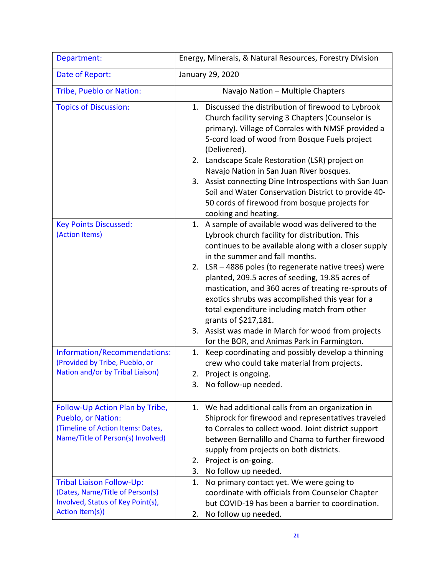| Department:                                                                                                                     | Energy, Minerals, & Natural Resources, Forestry Division                                                                                                                                                                                                                                                                                                                                                                                                                                                                                                                                           |
|---------------------------------------------------------------------------------------------------------------------------------|----------------------------------------------------------------------------------------------------------------------------------------------------------------------------------------------------------------------------------------------------------------------------------------------------------------------------------------------------------------------------------------------------------------------------------------------------------------------------------------------------------------------------------------------------------------------------------------------------|
| Date of Report:                                                                                                                 | January 29, 2020                                                                                                                                                                                                                                                                                                                                                                                                                                                                                                                                                                                   |
| Tribe, Pueblo or Nation:                                                                                                        | Navajo Nation - Multiple Chapters                                                                                                                                                                                                                                                                                                                                                                                                                                                                                                                                                                  |
| <b>Topics of Discussion:</b>                                                                                                    | 1. Discussed the distribution of firewood to Lybrook<br>Church facility serving 3 Chapters (Counselor is<br>primary). Village of Corrales with NMSF provided a<br>5-cord load of wood from Bosque Fuels project<br>(Delivered).<br>2. Landscape Scale Restoration (LSR) project on<br>Navajo Nation in San Juan River bosques.<br>3. Assist connecting Dine Introspections with San Juan<br>Soil and Water Conservation District to provide 40-<br>50 cords of firewood from bosque projects for<br>cooking and heating.                                                                           |
| <b>Key Points Discussed:</b><br>(Action Items)                                                                                  | 1. A sample of available wood was delivered to the<br>Lybrook church facility for distribution. This<br>continues to be available along with a closer supply<br>in the summer and fall months.<br>2. LSR - 4886 poles (to regenerate native trees) were<br>planted, 209.5 acres of seeding, 19.85 acres of<br>mastication, and 360 acres of treating re-sprouts of<br>exotics shrubs was accomplished this year for a<br>total expenditure including match from other<br>grants of \$217,181.<br>3. Assist was made in March for wood from projects<br>for the BOR, and Animas Park in Farmington. |
| Information/Recommendations:<br>(Provided by Tribe, Pueblo, or<br>Nation and/or by Tribal Liaison)                              | Keep coordinating and possibly develop a thinning<br>1.<br>crew who could take material from projects.<br>2. Project is ongoing.<br>3. No follow-up needed.                                                                                                                                                                                                                                                                                                                                                                                                                                        |
| Follow-Up Action Plan by Tribe,<br>Pueblo, or Nation:<br>(Timeline of Action Items: Dates,<br>Name/Title of Person(s) Involved) | 1. We had additional calls from an organization in<br>Shiprock for firewood and representatives traveled<br>to Corrales to collect wood. Joint district support<br>between Bernalillo and Chama to further firewood<br>supply from projects on both districts.<br>Project is on-going.<br>2.<br>No follow up needed.<br>3.                                                                                                                                                                                                                                                                         |
| <b>Tribal Liaison Follow-Up:</b><br>(Dates, Name/Title of Person(s)<br>Involved, Status of Key Point(s),<br>Action Item(s))     | No primary contact yet. We were going to<br>1.<br>coordinate with officials from Counselor Chapter<br>but COVID-19 has been a barrier to coordination.<br>No follow up needed.<br>2.                                                                                                                                                                                                                                                                                                                                                                                                               |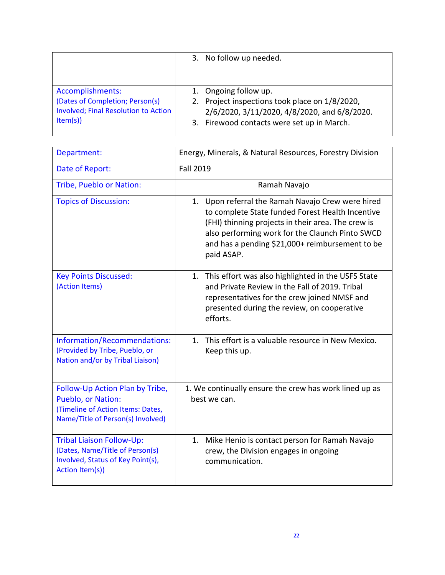|                                             | 3. No follow up needed.                        |
|---------------------------------------------|------------------------------------------------|
| Accomplishments:                            | 1. Ongoing follow up.                          |
| (Dates of Completion; Person(s)             | 2. Project inspections took place on 1/8/2020, |
| <b>Involved; Final Resolution to Action</b> | 2/6/2020, 3/11/2020, 4/8/2020, and 6/8/2020.   |
| Item(s)                                     | 3. Firewood contacts were set up in March.     |

| Department:                                                                                                                     | Energy, Minerals, & Natural Resources, Forestry Division                                                                                                                                                                                                                        |
|---------------------------------------------------------------------------------------------------------------------------------|---------------------------------------------------------------------------------------------------------------------------------------------------------------------------------------------------------------------------------------------------------------------------------|
| Date of Report:                                                                                                                 | <b>Fall 2019</b>                                                                                                                                                                                                                                                                |
| Tribe, Pueblo or Nation:                                                                                                        | Ramah Navajo                                                                                                                                                                                                                                                                    |
| <b>Topics of Discussion:</b>                                                                                                    | 1. Upon referral the Ramah Navajo Crew were hired<br>to complete State funded Forest Health Incentive<br>(FHI) thinning projects in their area. The crew is<br>also performing work for the Claunch Pinto SWCD<br>and has a pending \$21,000+ reimbursement to be<br>paid ASAP. |
| <b>Key Points Discussed:</b><br>(Action Items)                                                                                  | 1. This effort was also highlighted in the USFS State<br>and Private Review in the Fall of 2019. Tribal<br>representatives for the crew joined NMSF and<br>presented during the review, on cooperative<br>efforts.                                                              |
| Information/Recommendations:<br>(Provided by Tribe, Pueblo, or<br>Nation and/or by Tribal Liaison)                              | 1. This effort is a valuable resource in New Mexico.<br>Keep this up.                                                                                                                                                                                                           |
| Follow-Up Action Plan by Tribe,<br>Pueblo, or Nation:<br>(Timeline of Action Items: Dates,<br>Name/Title of Person(s) Involved) | 1. We continually ensure the crew has work lined up as<br>best we can.                                                                                                                                                                                                          |
| <b>Tribal Liaison Follow-Up:</b><br>(Dates, Name/Title of Person(s)<br>Involved, Status of Key Point(s),<br>Action Item(s))     | 1. Mike Henio is contact person for Ramah Navajo<br>crew, the Division engages in ongoing<br>communication.                                                                                                                                                                     |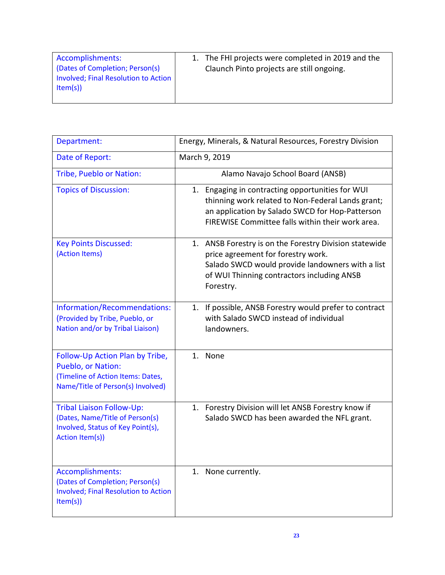| Accomplishments:<br>(Dates of Completion; Person(s)<br>Involved; Final Resolution to Action<br>Item(s) | 1. The FHI projects were completed in 2019 and the<br>Claunch Pinto projects are still ongoing. |
|--------------------------------------------------------------------------------------------------------|-------------------------------------------------------------------------------------------------|
|                                                                                                        |                                                                                                 |

| Department:                                                                                                                     | Energy, Minerals, & Natural Resources, Forestry Division                                                                                                                                                     |
|---------------------------------------------------------------------------------------------------------------------------------|--------------------------------------------------------------------------------------------------------------------------------------------------------------------------------------------------------------|
| Date of Report:                                                                                                                 | March 9, 2019                                                                                                                                                                                                |
| Tribe, Pueblo or Nation:                                                                                                        | Alamo Navajo School Board (ANSB)                                                                                                                                                                             |
| <b>Topics of Discussion:</b>                                                                                                    | 1. Engaging in contracting opportunities for WUI<br>thinning work related to Non-Federal Lands grant;<br>an application by Salado SWCD for Hop-Patterson<br>FIREWISE Committee falls within their work area. |
| <b>Key Points Discussed:</b><br>(Action Items)                                                                                  | 1. ANSB Forestry is on the Forestry Division statewide<br>price agreement for forestry work.<br>Salado SWCD would provide landowners with a list<br>of WUI Thinning contractors including ANSB<br>Forestry.  |
| Information/Recommendations:<br>(Provided by Tribe, Pueblo, or<br>Nation and/or by Tribal Liaison)                              | If possible, ANSB Forestry would prefer to contract<br>1.<br>with Salado SWCD instead of individual<br>landowners.                                                                                           |
| Follow-Up Action Plan by Tribe,<br>Pueblo, or Nation:<br>(Timeline of Action Items: Dates,<br>Name/Title of Person(s) Involved) | 1. None                                                                                                                                                                                                      |
| <b>Tribal Liaison Follow-Up:</b><br>(Dates, Name/Title of Person(s)<br>Involved, Status of Key Point(s),<br>Action Item(s))     | 1. Forestry Division will let ANSB Forestry know if<br>Salado SWCD has been awarded the NFL grant.                                                                                                           |
| Accomplishments:<br>(Dates of Completion; Person(s)<br><b>Involved; Final Resolution to Action</b><br>Item(s)                   | 1. None currently.                                                                                                                                                                                           |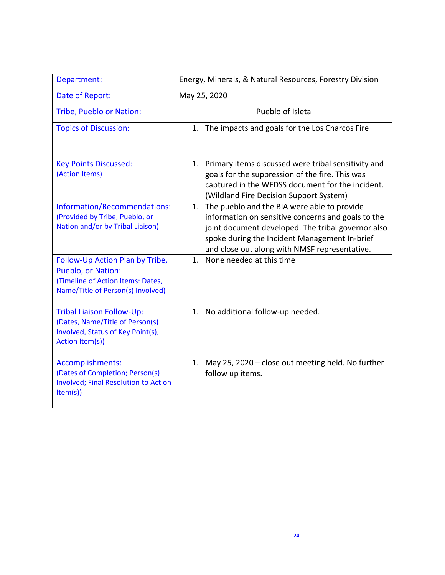| Department:                                                                                                                     | Energy, Minerals, & Natural Resources, Forestry Division                                                                                                                                                                                                        |
|---------------------------------------------------------------------------------------------------------------------------------|-----------------------------------------------------------------------------------------------------------------------------------------------------------------------------------------------------------------------------------------------------------------|
| Date of Report:                                                                                                                 | May 25, 2020                                                                                                                                                                                                                                                    |
| Tribe, Pueblo or Nation:                                                                                                        | Pueblo of Isleta                                                                                                                                                                                                                                                |
| <b>Topics of Discussion:</b>                                                                                                    | The impacts and goals for the Los Charcos Fire<br>1.                                                                                                                                                                                                            |
| <b>Key Points Discussed:</b><br>(Action Items)                                                                                  | 1. Primary items discussed were tribal sensitivity and<br>goals for the suppression of the fire. This was<br>captured in the WFDSS document for the incident.<br>(Wildland Fire Decision Support System)                                                        |
| Information/Recommendations:<br>(Provided by Tribe, Pueblo, or<br>Nation and/or by Tribal Liaison)                              | The pueblo and the BIA were able to provide<br>1.<br>information on sensitive concerns and goals to the<br>joint document developed. The tribal governor also<br>spoke during the Incident Management In-brief<br>and close out along with NMSF representative. |
| Follow-Up Action Plan by Tribe,<br>Pueblo, or Nation:<br>(Timeline of Action Items: Dates,<br>Name/Title of Person(s) Involved) | 1.<br>None needed at this time                                                                                                                                                                                                                                  |
| <b>Tribal Liaison Follow-Up:</b><br>(Dates, Name/Title of Person(s)<br>Involved, Status of Key Point(s),<br>Action Item(s))     | 1. No additional follow-up needed.                                                                                                                                                                                                                              |
| Accomplishments:<br>(Dates of Completion; Person(s)<br><b>Involved; Final Resolution to Action</b><br>Item(s)                   | 1. May 25, 2020 – close out meeting held. No further<br>follow up items.                                                                                                                                                                                        |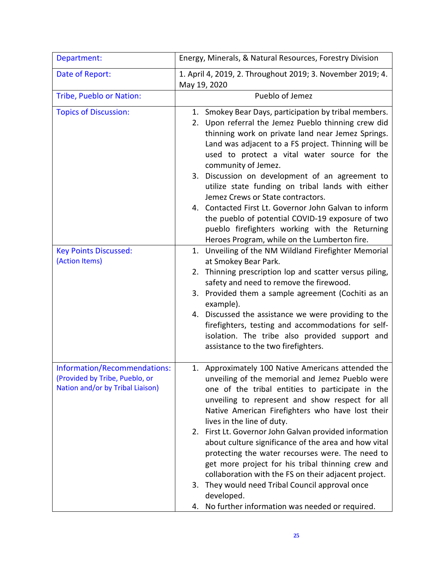| Department:                                                                                        | Energy, Minerals, & Natural Resources, Forestry Division                                                                                                                                                                                                                                                                                                                                                                                                                                                                                                                                                                                                                                                            |
|----------------------------------------------------------------------------------------------------|---------------------------------------------------------------------------------------------------------------------------------------------------------------------------------------------------------------------------------------------------------------------------------------------------------------------------------------------------------------------------------------------------------------------------------------------------------------------------------------------------------------------------------------------------------------------------------------------------------------------------------------------------------------------------------------------------------------------|
| Date of Report:                                                                                    | 1. April 4, 2019, 2. Throughout 2019; 3. November 2019; 4.<br>May 19, 2020                                                                                                                                                                                                                                                                                                                                                                                                                                                                                                                                                                                                                                          |
| Tribe, Pueblo or Nation:                                                                           | Pueblo of Jemez                                                                                                                                                                                                                                                                                                                                                                                                                                                                                                                                                                                                                                                                                                     |
| <b>Topics of Discussion:</b><br><b>Key Points Discussed:</b>                                       | 1. Smokey Bear Days, participation by tribal members.<br>2. Upon referral the Jemez Pueblo thinning crew did<br>thinning work on private land near Jemez Springs.<br>Land was adjacent to a FS project. Thinning will be<br>used to protect a vital water source for the<br>community of Jemez.<br>3. Discussion on development of an agreement to<br>utilize state funding on tribal lands with either<br>Jemez Crews or State contractors.<br>4. Contacted First Lt. Governor John Galvan to inform<br>the pueblo of potential COVID-19 exposure of two<br>pueblo firefighters working with the Returning<br>Heroes Program, while on the Lumberton fire.<br>1. Unveiling of the NM Wildland Firefighter Memorial |
| (Action Items)                                                                                     | at Smokey Bear Park.<br>2. Thinning prescription lop and scatter versus piling,<br>safety and need to remove the firewood.<br>3. Provided them a sample agreement (Cochiti as an<br>example).<br>4. Discussed the assistance we were providing to the<br>firefighters, testing and accommodations for self-<br>isolation. The tribe also provided support and<br>assistance to the two firefighters.                                                                                                                                                                                                                                                                                                                |
| Information/Recommendations:<br>(Provided by Tribe, Pueblo, or<br>Nation and/or by Tribal Liaison) | 1. Approximately 100 Native Americans attended the<br>unveiling of the memorial and Jemez Pueblo were<br>one of the tribal entities to participate in the<br>unveiling to represent and show respect for all<br>Native American Firefighters who have lost their<br>lives in the line of duty.<br>2. First Lt. Governor John Galvan provided information<br>about culture significance of the area and how vital<br>protecting the water recourses were. The need to<br>get more project for his tribal thinning crew and<br>collaboration with the FS on their adjacent project.<br>3. They would need Tribal Council approval once<br>developed.<br>No further information was needed or required.<br>4.          |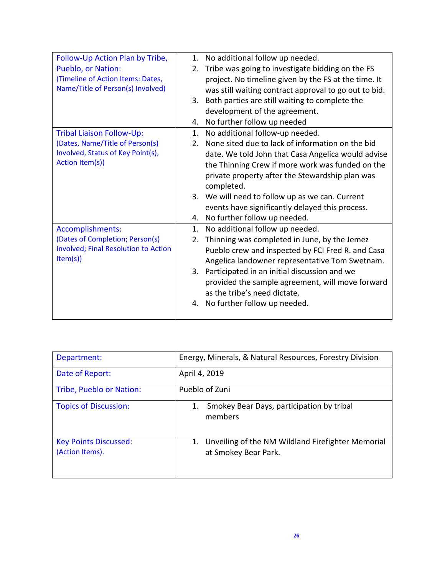| Follow-Up Action Plan by Tribe,             | No additional follow up needed.<br>1.                              |
|---------------------------------------------|--------------------------------------------------------------------|
| Pueblo, or Nation:                          | Tribe was going to investigate bidding on the FS<br>2.             |
| (Timeline of Action Items: Dates,           | project. No timeline given by the FS at the time. It               |
| Name/Title of Person(s) Involved)           | was still waiting contract approval to go out to bid.              |
|                                             | Both parties are still waiting to complete the<br>3.               |
|                                             | development of the agreement.                                      |
|                                             | No further follow up needed<br>4.                                  |
| <b>Tribal Liaison Follow-Up:</b>            | No additional follow-up needed.<br>1.                              |
| (Dates, Name/Title of Person(s)             | None sited due to lack of information on the bid<br>2 <sub>1</sub> |
| Involved, Status of Key Point(s),           | date. We told John that Casa Angelica would advise                 |
| Action Item(s))                             | the Thinning Crew if more work was funded on the                   |
|                                             | private property after the Stewardship plan was                    |
|                                             | completed.                                                         |
|                                             | 3. We will need to follow up as we can. Current                    |
|                                             | events have significantly delayed this process.                    |
|                                             | No further follow up needed.<br>4.                                 |
| Accomplishments:                            | No additional follow up needed.<br>1.                              |
| (Dates of Completion; Person(s)             | Thinning was completed in June, by the Jemez<br>2.                 |
| <b>Involved; Final Resolution to Action</b> | Pueblo crew and inspected by FCI Fred R. and Casa                  |
| Item(s)                                     | Angelica landowner representative Tom Swetnam.                     |
|                                             | 3. Participated in an initial discussion and we                    |
|                                             | provided the sample agreement, will move forward                   |
|                                             | as the tribe's need dictate.                                       |
|                                             | No further follow up needed.<br>4.                                 |
|                                             |                                                                    |

| Department:                                     | Energy, Minerals, & Natural Resources, Forestry Division                     |
|-------------------------------------------------|------------------------------------------------------------------------------|
| Date of Report:                                 | April 4, 2019                                                                |
| Tribe, Pueblo or Nation:                        | Pueblo of Zuni                                                               |
| <b>Topics of Discussion:</b>                    | Smokey Bear Days, participation by tribal<br>1.<br>members                   |
| <b>Key Points Discussed:</b><br>(Action Items). | 1. Unveiling of the NM Wildland Firefighter Memorial<br>at Smokey Bear Park. |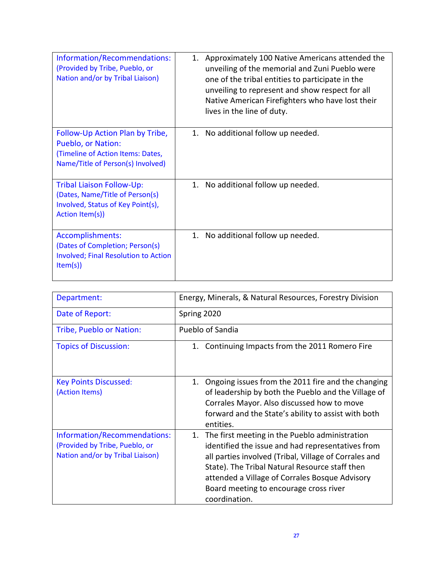| Information/Recommendations:<br>(Provided by Tribe, Pueblo, or<br>Nation and/or by Tribal Liaison)                                     | 1. Approximately 100 Native Americans attended the<br>unveiling of the memorial and Zuni Pueblo were<br>one of the tribal entities to participate in the<br>unveiling to represent and show respect for all<br>Native American Firefighters who have lost their<br>lives in the line of duty. |
|----------------------------------------------------------------------------------------------------------------------------------------|-----------------------------------------------------------------------------------------------------------------------------------------------------------------------------------------------------------------------------------------------------------------------------------------------|
| Follow-Up Action Plan by Tribe,<br><b>Pueblo, or Nation:</b><br>(Timeline of Action Items: Dates,<br>Name/Title of Person(s) Involved) | No additional follow up needed.<br>1.                                                                                                                                                                                                                                                         |
| <b>Tribal Liaison Follow-Up:</b><br>(Dates, Name/Title of Person(s)<br>Involved, Status of Key Point(s),<br>Action Item(s))            | 1. No additional follow up needed.                                                                                                                                                                                                                                                            |
| Accomplishments:<br>(Dates of Completion; Person(s)<br><b>Involved; Final Resolution to Action</b><br>Item(s)                          | 1. No additional follow up needed.                                                                                                                                                                                                                                                            |

| Department:                                                                                        | Energy, Minerals, & Natural Resources, Forestry Division                                                                                                                                                                                                                                                                          |
|----------------------------------------------------------------------------------------------------|-----------------------------------------------------------------------------------------------------------------------------------------------------------------------------------------------------------------------------------------------------------------------------------------------------------------------------------|
| Date of Report:                                                                                    | Spring 2020                                                                                                                                                                                                                                                                                                                       |
| Tribe, Pueblo or Nation:                                                                           | Pueblo of Sandia                                                                                                                                                                                                                                                                                                                  |
| <b>Topics of Discussion:</b>                                                                       | 1. Continuing Impacts from the 2011 Romero Fire                                                                                                                                                                                                                                                                                   |
| <b>Key Points Discussed:</b><br>(Action Items)                                                     | Ongoing issues from the 2011 fire and the changing<br>1.<br>of leadership by both the Pueblo and the Village of<br>Corrales Mayor. Also discussed how to move<br>forward and the State's ability to assist with both<br>entities.                                                                                                 |
| Information/Recommendations:<br>(Provided by Tribe, Pueblo, or<br>Nation and/or by Tribal Liaison) | The first meeting in the Pueblo administration<br>1.<br>identified the issue and had representatives from<br>all parties involved (Tribal, Village of Corrales and<br>State). The Tribal Natural Resource staff then<br>attended a Village of Corrales Bosque Advisory<br>Board meeting to encourage cross river<br>coordination. |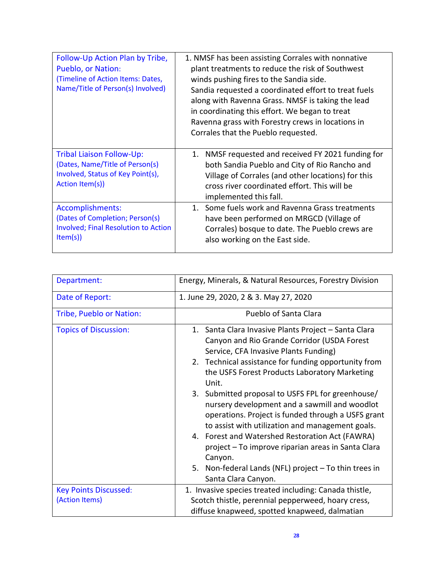| Follow-Up Action Plan by Tribe,<br>Pueblo, or Nation:<br>(Timeline of Action Items: Dates,<br>Name/Title of Person(s) Involved) | 1. NMSF has been assisting Corrales with nonnative<br>plant treatments to reduce the risk of Southwest<br>winds pushing fires to the Sandia side.<br>Sandia requested a coordinated effort to treat fuels<br>along with Ravenna Grass. NMSF is taking the lead<br>in coordinating this effort. We began to treat<br>Ravenna grass with Forestry crews in locations in<br>Corrales that the Pueblo requested. |
|---------------------------------------------------------------------------------------------------------------------------------|--------------------------------------------------------------------------------------------------------------------------------------------------------------------------------------------------------------------------------------------------------------------------------------------------------------------------------------------------------------------------------------------------------------|
| <b>Tribal Liaison Follow-Up:</b><br>(Dates, Name/Title of Person(s)<br>Involved, Status of Key Point(s),<br>Action Item(s))     | 1. NMSF requested and received FY 2021 funding for<br>both Sandia Pueblo and City of Rio Rancho and<br>Village of Corrales (and other locations) for this<br>cross river coordinated effort. This will be<br>implemented this fall.                                                                                                                                                                          |
| Accomplishments:<br>(Dates of Completion; Person(s)<br><b>Involved; Final Resolution to Action</b><br>Item(s)                   | 1. Some fuels work and Ravenna Grass treatments<br>have been performed on MRGCD (Village of<br>Corrales) bosque to date. The Pueblo crews are<br>also working on the East side.                                                                                                                                                                                                                              |

| Department:                  | Energy, Minerals, & Natural Resources, Forestry Division                                                                                                                                                                                                                                                                                                                                                                                                                                                                                                                                                                                                                           |
|------------------------------|------------------------------------------------------------------------------------------------------------------------------------------------------------------------------------------------------------------------------------------------------------------------------------------------------------------------------------------------------------------------------------------------------------------------------------------------------------------------------------------------------------------------------------------------------------------------------------------------------------------------------------------------------------------------------------|
| Date of Report:              | 1. June 29, 2020, 2 & 3. May 27, 2020                                                                                                                                                                                                                                                                                                                                                                                                                                                                                                                                                                                                                                              |
| Tribe, Pueblo or Nation:     | Pueblo of Santa Clara                                                                                                                                                                                                                                                                                                                                                                                                                                                                                                                                                                                                                                                              |
| <b>Topics of Discussion:</b> | 1. Santa Clara Invasive Plants Project - Santa Clara<br>Canyon and Rio Grande Corridor (USDA Forest<br>Service, CFA Invasive Plants Funding)<br>2. Technical assistance for funding opportunity from<br>the USFS Forest Products Laboratory Marketing<br>Unit.<br>3. Submitted proposal to USFS FPL for greenhouse/<br>nursery development and a sawmill and woodlot<br>operations. Project is funded through a USFS grant<br>to assist with utilization and management goals.<br>4. Forest and Watershed Restoration Act (FAWRA)<br>project – To improve riparian areas in Santa Clara<br>Canyon.<br>5. Non-federal Lands (NFL) project - To thin trees in<br>Santa Clara Canyon. |
| <b>Key Points Discussed:</b> | 1. Invasive species treated including: Canada thistle,                                                                                                                                                                                                                                                                                                                                                                                                                                                                                                                                                                                                                             |
| (Action Items)               | Scotch thistle, perennial pepperweed, hoary cress,                                                                                                                                                                                                                                                                                                                                                                                                                                                                                                                                                                                                                                 |
|                              | diffuse knapweed, spotted knapweed, dalmatian                                                                                                                                                                                                                                                                                                                                                                                                                                                                                                                                                                                                                                      |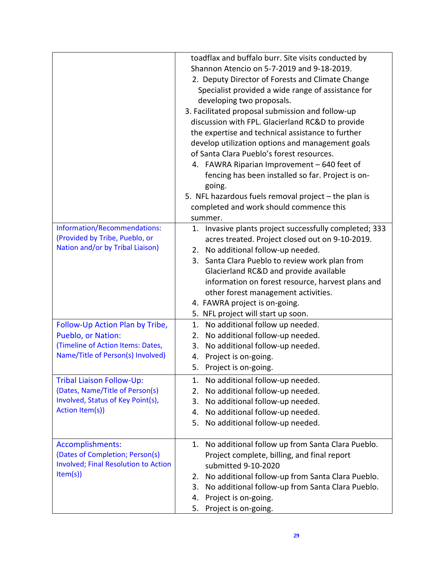|                                                      | toadflax and buffalo burr. Site visits conducted by<br>Shannon Atencio on 5-7-2019 and 9-18-2019.<br>2. Deputy Director of Forests and Climate Change<br>Specialist provided a wide range of assistance for<br>developing two proposals.<br>3. Facilitated proposal submission and follow-up<br>discussion with FPL. Glacierland RC&D to provide |
|------------------------------------------------------|--------------------------------------------------------------------------------------------------------------------------------------------------------------------------------------------------------------------------------------------------------------------------------------------------------------------------------------------------|
|                                                      | the expertise and technical assistance to further<br>develop utilization options and management goals                                                                                                                                                                                                                                            |
|                                                      | of Santa Clara Pueblo's forest resources.                                                                                                                                                                                                                                                                                                        |
|                                                      | 4. FAWRA Riparian Improvement - 640 feet of                                                                                                                                                                                                                                                                                                      |
|                                                      | fencing has been installed so far. Project is on-                                                                                                                                                                                                                                                                                                |
|                                                      | going.                                                                                                                                                                                                                                                                                                                                           |
|                                                      | 5. NFL hazardous fuels removal project $-$ the plan is                                                                                                                                                                                                                                                                                           |
|                                                      | completed and work should commence this<br>summer.                                                                                                                                                                                                                                                                                               |
| Information/Recommendations:                         | 1. Invasive plants project successfully completed; 333                                                                                                                                                                                                                                                                                           |
| (Provided by Tribe, Pueblo, or                       | acres treated. Project closed out on 9-10-2019.                                                                                                                                                                                                                                                                                                  |
| Nation and/or by Tribal Liaison)                     | 2. No additional follow-up needed.                                                                                                                                                                                                                                                                                                               |
|                                                      | 3. Santa Clara Pueblo to review work plan from                                                                                                                                                                                                                                                                                                   |
|                                                      | Glacierland RC&D and provide available                                                                                                                                                                                                                                                                                                           |
|                                                      | information on forest resource, harvest plans and                                                                                                                                                                                                                                                                                                |
|                                                      | other forest management activities.                                                                                                                                                                                                                                                                                                              |
|                                                      | 4. FAWRA project is on-going.                                                                                                                                                                                                                                                                                                                    |
|                                                      | 5. NFL project will start up soon.                                                                                                                                                                                                                                                                                                               |
| Follow-Up Action Plan by Tribe,                      | 1. No additional follow up needed.                                                                                                                                                                                                                                                                                                               |
| Pueblo, or Nation:                                   | No additional follow-up needed.<br>2.                                                                                                                                                                                                                                                                                                            |
| (Timeline of Action Items: Dates,                    | 3. No additional follow-up needed.                                                                                                                                                                                                                                                                                                               |
| Name/Title of Person(s) Involved)                    | Project is on-going.<br>4.                                                                                                                                                                                                                                                                                                                       |
|                                                      | 5. Project is on-going.                                                                                                                                                                                                                                                                                                                          |
| Tribal Liaison Follow-Up:                            | 1. No additional follow-up needed.                                                                                                                                                                                                                                                                                                               |
| (Dates, Name/Title of Person(s)                      | No additional follow-up needed.<br>2.                                                                                                                                                                                                                                                                                                            |
| Involved, Status of Key Point(s),<br>Action Item(s)) | No additional follow-up needed.<br>3.                                                                                                                                                                                                                                                                                                            |
|                                                      | No additional follow-up needed.<br>4.                                                                                                                                                                                                                                                                                                            |
|                                                      | No additional follow-up needed.<br>5.                                                                                                                                                                                                                                                                                                            |
| Accomplishments:                                     | No additional follow up from Santa Clara Pueblo.<br>1.                                                                                                                                                                                                                                                                                           |
| (Dates of Completion; Person(s)                      | Project complete, billing, and final report                                                                                                                                                                                                                                                                                                      |
| <b>Involved; Final Resolution to Action</b>          | submitted 9-10-2020                                                                                                                                                                                                                                                                                                                              |
| Item(s)                                              | No additional follow-up from Santa Clara Pueblo.<br>2.                                                                                                                                                                                                                                                                                           |
|                                                      | No additional follow-up from Santa Clara Pueblo.<br>3.                                                                                                                                                                                                                                                                                           |
|                                                      | Project is on-going.<br>4.                                                                                                                                                                                                                                                                                                                       |
|                                                      | Project is on-going.<br>5.                                                                                                                                                                                                                                                                                                                       |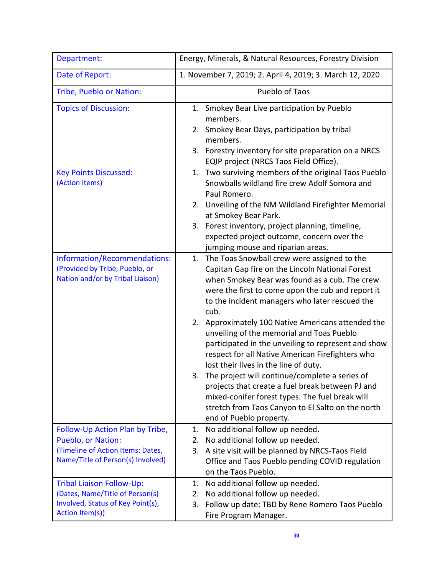| Department:                                                                                                                     | Energy, Minerals, & Natural Resources, Forestry Division                                                                                                                                                                                                                                                                                                                                                                                                                                                                                                                                                                                                                                                                                                                |
|---------------------------------------------------------------------------------------------------------------------------------|-------------------------------------------------------------------------------------------------------------------------------------------------------------------------------------------------------------------------------------------------------------------------------------------------------------------------------------------------------------------------------------------------------------------------------------------------------------------------------------------------------------------------------------------------------------------------------------------------------------------------------------------------------------------------------------------------------------------------------------------------------------------------|
| Date of Report:                                                                                                                 | 1. November 7, 2019; 2. April 4, 2019; 3. March 12, 2020                                                                                                                                                                                                                                                                                                                                                                                                                                                                                                                                                                                                                                                                                                                |
| Tribe, Pueblo or Nation:                                                                                                        | Pueblo of Taos                                                                                                                                                                                                                                                                                                                                                                                                                                                                                                                                                                                                                                                                                                                                                          |
| <b>Topics of Discussion:</b>                                                                                                    | 1. Smokey Bear Live participation by Pueblo<br>members.<br>2. Smokey Bear Days, participation by tribal<br>members.<br>3. Forestry inventory for site preparation on a NRCS<br>EQIP project (NRCS Taos Field Office).                                                                                                                                                                                                                                                                                                                                                                                                                                                                                                                                                   |
| <b>Key Points Discussed:</b><br>(Action Items)                                                                                  | 1. Two surviving members of the original Taos Pueblo<br>Snowballs wildland fire crew Adolf Somora and<br>Paul Romero.<br>Unveiling of the NM Wildland Firefighter Memorial<br>2.<br>at Smokey Bear Park.<br>3. Forest inventory, project planning, timeline,<br>expected project outcome, concern over the<br>jumping mouse and riparian areas.                                                                                                                                                                                                                                                                                                                                                                                                                         |
| Information/Recommendations:<br>(Provided by Tribe, Pueblo, or<br>Nation and/or by Tribal Liaison)                              | 1. The Toas Snowball crew were assigned to the<br>Capitan Gap fire on the Lincoln National Forest<br>when Smokey Bear was found as a cub. The crew<br>were the first to come upon the cub and report it<br>to the incident managers who later rescued the<br>cub.<br>2. Approximately 100 Native Americans attended the<br>unveiling of the memorial and Toas Pueblo<br>participated in the unveiling to represent and show<br>respect for all Native American Firefighters who<br>lost their lives in the line of duty.<br>The project will continue/complete a series of<br>3.<br>projects that create a fuel break between PJ and<br>mixed-conifer forest types. The fuel break will<br>stretch from Taos Canyon to El Salto on the north<br>end of Pueblo property. |
| Follow-Up Action Plan by Tribe,<br>Pueblo, or Nation:<br>(Timeline of Action Items: Dates,<br>Name/Title of Person(s) Involved) | No additional follow up needed.<br>1.<br>No additional follow up needed.<br>2.<br>A site visit will be planned by NRCS-Taos Field<br>3.<br>Office and Taos Pueblo pending COVID regulation<br>on the Taos Pueblo.                                                                                                                                                                                                                                                                                                                                                                                                                                                                                                                                                       |
| <b>Tribal Liaison Follow-Up:</b><br>(Dates, Name/Title of Person(s)<br>Involved, Status of Key Point(s),<br>Action Item(s))     | No additional follow up needed.<br>1.<br>No additional follow up needed.<br>2.<br>Follow up date: TBD by Rene Romero Taos Pueblo<br>3.<br>Fire Program Manager.                                                                                                                                                                                                                                                                                                                                                                                                                                                                                                                                                                                                         |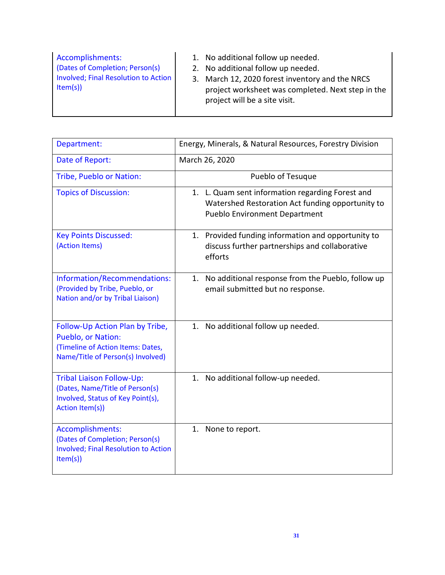| Accomplishments:<br>(Dates of Completion; Person(s)<br>Involved; Final Resolution to Action<br>Item(s) | 1. No additional follow up needed.<br>2. No additional follow up needed.<br>3. March 12, 2020 forest inventory and the NRCS<br>project worksheet was completed. Next step in the<br>project will be a site visit. |
|--------------------------------------------------------------------------------------------------------|-------------------------------------------------------------------------------------------------------------------------------------------------------------------------------------------------------------------|
|--------------------------------------------------------------------------------------------------------|-------------------------------------------------------------------------------------------------------------------------------------------------------------------------------------------------------------------|

| Department:                                                                                                                     | Energy, Minerals, & Natural Resources, Forestry Division                                                                                     |
|---------------------------------------------------------------------------------------------------------------------------------|----------------------------------------------------------------------------------------------------------------------------------------------|
| Date of Report:                                                                                                                 | March 26, 2020                                                                                                                               |
| Tribe, Pueblo or Nation:                                                                                                        | Pueblo of Tesuque                                                                                                                            |
| <b>Topics of Discussion:</b>                                                                                                    | 1. L. Quam sent information regarding Forest and<br>Watershed Restoration Act funding opportunity to<br><b>Pueblo Environment Department</b> |
| <b>Key Points Discussed:</b><br>(Action Items)                                                                                  | 1. Provided funding information and opportunity to<br>discuss further partnerships and collaborative<br>efforts                              |
| Information/Recommendations:<br>(Provided by Tribe, Pueblo, or<br>Nation and/or by Tribal Liaison)                              | 1. No additional response from the Pueblo, follow up<br>email submitted but no response.                                                     |
| Follow-Up Action Plan by Tribe,<br>Pueblo, or Nation:<br>(Timeline of Action Items: Dates,<br>Name/Title of Person(s) Involved) | No additional follow up needed.<br>1.                                                                                                        |
| <b>Tribal Liaison Follow-Up:</b><br>(Dates, Name/Title of Person(s)<br>Involved, Status of Key Point(s),<br>Action Item(s))     | 1. No additional follow-up needed.                                                                                                           |
| Accomplishments:<br>(Dates of Completion; Person(s)<br><b>Involved; Final Resolution to Action</b><br>Item(s)                   | 1.<br>None to report.                                                                                                                        |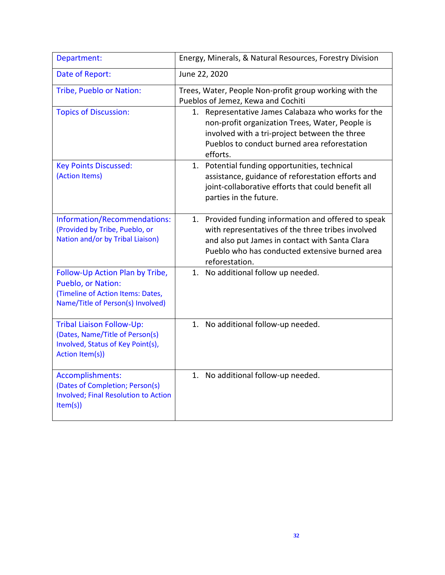| Department:                                                                                                                     | Energy, Minerals, & Natural Resources, Forestry Division                                                                                                                                                                        |
|---------------------------------------------------------------------------------------------------------------------------------|---------------------------------------------------------------------------------------------------------------------------------------------------------------------------------------------------------------------------------|
| Date of Report:                                                                                                                 | June 22, 2020                                                                                                                                                                                                                   |
| Tribe, Pueblo or Nation:                                                                                                        | Trees, Water, People Non-profit group working with the<br>Pueblos of Jemez, Kewa and Cochiti                                                                                                                                    |
| <b>Topics of Discussion:</b>                                                                                                    | Representative James Calabaza who works for the<br>1.<br>non-profit organization Trees, Water, People is<br>involved with a tri-project between the three<br>Pueblos to conduct burned area reforestation<br>efforts.           |
| <b>Key Points Discussed:</b><br>(Action Items)                                                                                  | 1. Potential funding opportunities, technical<br>assistance, guidance of reforestation efforts and<br>joint-collaborative efforts that could benefit all<br>parties in the future.                                              |
| Information/Recommendations:<br>(Provided by Tribe, Pueblo, or<br>Nation and/or by Tribal Liaison)                              | 1. Provided funding information and offered to speak<br>with representatives of the three tribes involved<br>and also put James in contact with Santa Clara<br>Pueblo who has conducted extensive burned area<br>reforestation. |
| Follow-Up Action Plan by Tribe,<br>Pueblo, or Nation:<br>(Timeline of Action Items: Dates,<br>Name/Title of Person(s) Involved) | 1. No additional follow up needed.                                                                                                                                                                                              |
| Tribal Liaison Follow-Up:<br>(Dates, Name/Title of Person(s)<br>Involved, Status of Key Point(s),<br>Action Item(s))            | 1. No additional follow-up needed.                                                                                                                                                                                              |
| Accomplishments:<br>(Dates of Completion; Person(s)<br>Involved; Final Resolution to Action<br>Item(s)                          | 1. No additional follow-up needed.                                                                                                                                                                                              |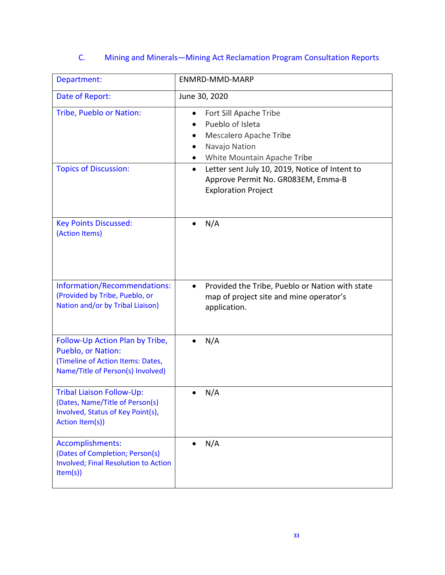# C. Mining and Minerals—Mining Act Reclamation Program Consultation Reports

| Department:                                                                                                                     | ENMRD-MMD-MARP                                                                                                                  |
|---------------------------------------------------------------------------------------------------------------------------------|---------------------------------------------------------------------------------------------------------------------------------|
| Date of Report:                                                                                                                 | June 30, 2020                                                                                                                   |
| Tribe, Pueblo or Nation:                                                                                                        | Fort Sill Apache Tribe<br>Pueblo of Isleta<br>Mescalero Apache Tribe<br>Navajo Nation<br>White Mountain Apache Tribe            |
| <b>Topics of Discussion:</b>                                                                                                    | Letter sent July 10, 2019, Notice of Intent to<br>$\bullet$<br>Approve Permit No. GR083EM, Emma-B<br><b>Exploration Project</b> |
| <b>Key Points Discussed:</b><br>(Action Items)                                                                                  | N/A                                                                                                                             |
| Information/Recommendations:<br>(Provided by Tribe, Pueblo, or<br>Nation and/or by Tribal Liaison)                              | Provided the Tribe, Pueblo or Nation with state<br>map of project site and mine operator's<br>application.                      |
| Follow-Up Action Plan by Tribe,<br>Pueblo, or Nation:<br>(Timeline of Action Items: Dates,<br>Name/Title of Person(s) Involved) | N/A                                                                                                                             |
| <b>Tribal Liaison Follow-Up:</b><br>(Dates, Name/Title of Person(s)<br>Involved, Status of Key Point(s),<br>Action Item(s))     | N/A                                                                                                                             |
| Accomplishments:<br>(Dates of Completion; Person(s)<br><b>Involved; Final Resolution to Action</b><br>Item(s)                   | N/A                                                                                                                             |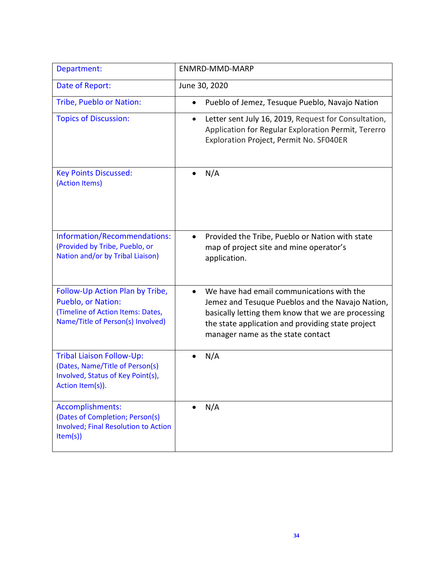| Department:                                                                                                                     | ENMRD-MMD-MARP                                                                                                                                                                                                                                |
|---------------------------------------------------------------------------------------------------------------------------------|-----------------------------------------------------------------------------------------------------------------------------------------------------------------------------------------------------------------------------------------------|
| Date of Report:                                                                                                                 | June 30, 2020                                                                                                                                                                                                                                 |
| Tribe, Pueblo or Nation:                                                                                                        | Pueblo of Jemez, Tesuque Pueblo, Navajo Nation                                                                                                                                                                                                |
| <b>Topics of Discussion:</b>                                                                                                    | Letter sent July 16, 2019, Request for Consultation,<br>$\bullet$<br>Application for Regular Exploration Permit, Tererro<br>Exploration Project, Permit No. SF040ER                                                                           |
| <b>Key Points Discussed:</b><br>(Action Items)                                                                                  | N/A                                                                                                                                                                                                                                           |
| Information/Recommendations:<br>(Provided by Tribe, Pueblo, or<br>Nation and/or by Tribal Liaison)                              | Provided the Tribe, Pueblo or Nation with state<br>$\bullet$<br>map of project site and mine operator's<br>application.                                                                                                                       |
| Follow-Up Action Plan by Tribe,<br>Pueblo, or Nation:<br>(Timeline of Action Items: Dates,<br>Name/Title of Person(s) Involved) | We have had email communications with the<br>Jemez and Tesuque Pueblos and the Navajo Nation,<br>basically letting them know that we are processing<br>the state application and providing state project<br>manager name as the state contact |
| <b>Tribal Liaison Follow-Up:</b><br>(Dates, Name/Title of Person(s)<br>Involved, Status of Key Point(s),<br>Action Item(s)).    | N/A                                                                                                                                                                                                                                           |
| Accomplishments:<br>(Dates of Completion; Person(s)<br><b>Involved; Final Resolution to Action</b><br>Item(s)                   | N/A                                                                                                                                                                                                                                           |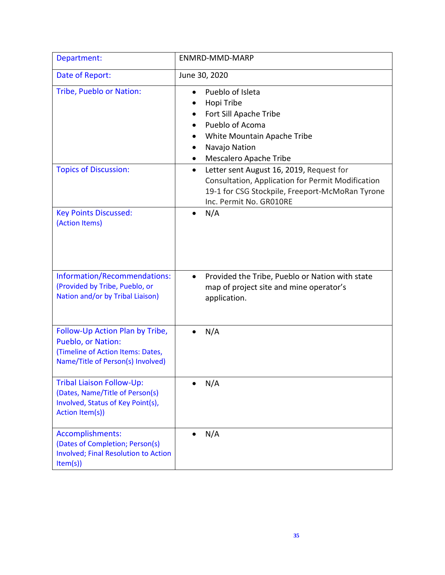| Department:                                                                                                                     | ENMRD-MMD-MARP                                                                                                                                                                           |
|---------------------------------------------------------------------------------------------------------------------------------|------------------------------------------------------------------------------------------------------------------------------------------------------------------------------------------|
| Date of Report:                                                                                                                 | June 30, 2020                                                                                                                                                                            |
| Tribe, Pueblo or Nation:                                                                                                        | Pueblo of Isleta<br>Hopi Tribe<br>Fort Sill Apache Tribe<br>$\bullet$<br>Pueblo of Acoma<br>White Mountain Apache Tribe<br>Navajo Nation<br>Mescalero Apache Tribe                       |
| <b>Topics of Discussion:</b>                                                                                                    | Letter sent August 16, 2019, Request for<br>$\bullet$<br>Consultation, Application for Permit Modification<br>19-1 for CSG Stockpile, Freeport-McMoRan Tyrone<br>Inc. Permit No. GR010RE |
| <b>Key Points Discussed:</b><br>(Action Items)                                                                                  | N/A                                                                                                                                                                                      |
| Information/Recommendations:<br>(Provided by Tribe, Pueblo, or<br>Nation and/or by Tribal Liaison)                              | Provided the Tribe, Pueblo or Nation with state<br>$\bullet$<br>map of project site and mine operator's<br>application.                                                                  |
| Follow-Up Action Plan by Tribe,<br>Pueblo, or Nation:<br>(Timeline of Action Items: Dates,<br>Name/Title of Person(s) Involved) | N/A                                                                                                                                                                                      |
| Tribal Liaison Follow-Up:<br>(Dates, Name/Title of Person(s)<br>Involved, Status of Key Point(s),<br>Action Item(s))            | N/A                                                                                                                                                                                      |
| Accomplishments:<br>(Dates of Completion; Person(s)<br><b>Involved; Final Resolution to Action</b><br>Item(s)                   | N/A                                                                                                                                                                                      |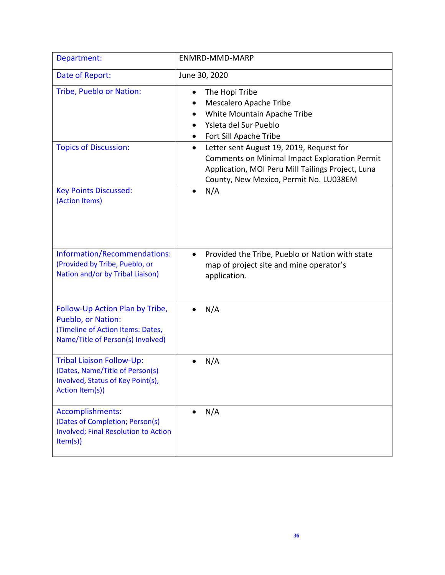| Department:                                                                                                                     | <b>ENMRD-MMD-MARP</b>                                                                                                                                                                                        |
|---------------------------------------------------------------------------------------------------------------------------------|--------------------------------------------------------------------------------------------------------------------------------------------------------------------------------------------------------------|
| Date of Report:                                                                                                                 | June 30, 2020                                                                                                                                                                                                |
| Tribe, Pueblo or Nation:                                                                                                        | The Hopi Tribe<br>Mescalero Apache Tribe<br>White Mountain Apache Tribe<br>Ysleta del Sur Pueblo<br>Fort Sill Apache Tribe<br>$\bullet$                                                                      |
| <b>Topics of Discussion:</b>                                                                                                    | Letter sent August 19, 2019, Request for<br>$\bullet$<br><b>Comments on Minimal Impact Exploration Permit</b><br>Application, MOI Peru Mill Tailings Project, Luna<br>County, New Mexico, Permit No. LU038EM |
| <b>Key Points Discussed:</b><br>(Action Items)                                                                                  | N/A                                                                                                                                                                                                          |
| Information/Recommendations:<br>(Provided by Tribe, Pueblo, or<br>Nation and/or by Tribal Liaison)                              | Provided the Tribe, Pueblo or Nation with state<br>$\bullet$<br>map of project site and mine operator's<br>application.                                                                                      |
| Follow-Up Action Plan by Tribe,<br>Pueblo, or Nation:<br>(Timeline of Action Items: Dates,<br>Name/Title of Person(s) Involved) | N/A                                                                                                                                                                                                          |
| <b>Tribal Liaison Follow-Up:</b><br>(Dates, Name/Title of Person(s)<br>Involved, Status of Key Point(s),<br>Action Item(s))     | N/A                                                                                                                                                                                                          |
| Accomplishments:<br>(Dates of Completion; Person(s)<br><b>Involved; Final Resolution to Action</b><br>Item(s)                   | N/A                                                                                                                                                                                                          |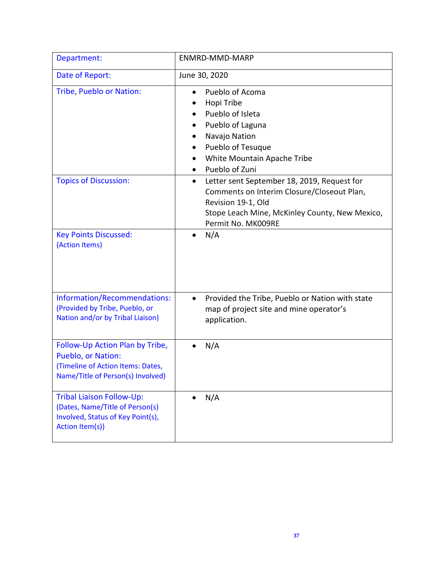| Department:                                                                                                                     | ENMRD-MMD-MARP                                                                                                                                                                                       |
|---------------------------------------------------------------------------------------------------------------------------------|------------------------------------------------------------------------------------------------------------------------------------------------------------------------------------------------------|
| Date of Report:                                                                                                                 | June 30, 2020                                                                                                                                                                                        |
| <b>Tribe, Pueblo or Nation:</b>                                                                                                 | Pueblo of Acoma<br>Hopi Tribe<br>Pueblo of Isleta<br>Pueblo of Laguna<br>Navajo Nation<br>Pueblo of Tesuque<br>White Mountain Apache Tribe<br>Pueblo of Zuni                                         |
| <b>Topics of Discussion:</b>                                                                                                    | Letter sent September 18, 2019, Request for<br>$\bullet$<br>Comments on Interim Closure/Closeout Plan,<br>Revision 19-1, Old<br>Stope Leach Mine, McKinley County, New Mexico,<br>Permit No. MK009RE |
| <b>Key Points Discussed:</b><br>(Action Items)                                                                                  | N/A                                                                                                                                                                                                  |
| Information/Recommendations:<br>(Provided by Tribe, Pueblo, or<br>Nation and/or by Tribal Liaison)                              | Provided the Tribe, Pueblo or Nation with state<br>$\bullet$<br>map of project site and mine operator's<br>application.                                                                              |
| Follow-Up Action Plan by Tribe,<br>Pueblo, or Nation:<br>(Timeline of Action Items: Dates,<br>Name/Title of Person(s) Involved) | N/A                                                                                                                                                                                                  |
| <b>Tribal Liaison Follow-Up:</b><br>(Dates, Name/Title of Person(s)<br>Involved, Status of Key Point(s),<br>Action Item(s))     | N/A                                                                                                                                                                                                  |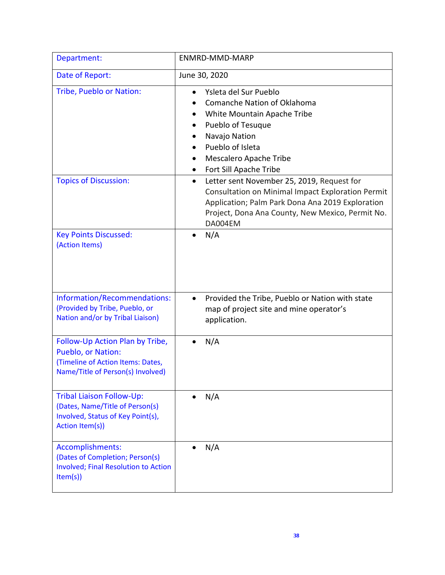| Department:                                                                                                                     | ENMRD-MMD-MARP                                                                                                                                                                                                                  |
|---------------------------------------------------------------------------------------------------------------------------------|---------------------------------------------------------------------------------------------------------------------------------------------------------------------------------------------------------------------------------|
| Date of Report:                                                                                                                 | June 30, 2020                                                                                                                                                                                                                   |
| Tribe, Pueblo or Nation:                                                                                                        | Ysleta del Sur Pueblo<br><b>Comanche Nation of Oklahoma</b><br>White Mountain Apache Tribe<br>Pueblo of Tesuque<br>٠<br>Navajo Nation<br>Pueblo of Isleta<br>Mescalero Apache Tribe<br>Fort Sill Apache Tribe                   |
| <b>Topics of Discussion:</b>                                                                                                    | Letter sent November 25, 2019, Request for<br>$\bullet$<br>Consultation on Minimal Impact Exploration Permit<br>Application; Palm Park Dona Ana 2019 Exploration<br>Project, Dona Ana County, New Mexico, Permit No.<br>DA004EM |
| <b>Key Points Discussed:</b><br>(Action Items)                                                                                  | N/A                                                                                                                                                                                                                             |
| Information/Recommendations:<br>(Provided by Tribe, Pueblo, or<br>Nation and/or by Tribal Liaison)                              | Provided the Tribe, Pueblo or Nation with state<br>$\bullet$<br>map of project site and mine operator's<br>application.                                                                                                         |
| Follow-Up Action Plan by Tribe,<br>Pueblo, or Nation:<br>(Timeline of Action Items: Dates,<br>Name/Title of Person(s) Involved) | N/A                                                                                                                                                                                                                             |
| <b>Tribal Liaison Follow-Up:</b><br>(Dates, Name/Title of Person(s)<br>Involved, Status of Key Point(s),<br>Action Item(s))     | N/A                                                                                                                                                                                                                             |
| Accomplishments:<br>(Dates of Completion; Person(s)<br><b>Involved; Final Resolution to Action</b><br>Item(s)                   | N/A                                                                                                                                                                                                                             |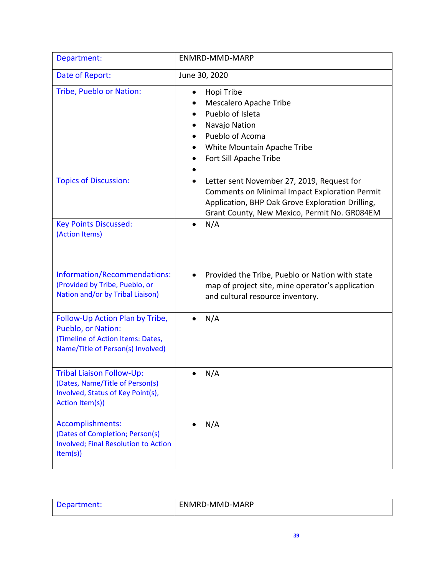| Department:                                                                                                                     | <b>ENMRD-MMD-MARP</b>                                                                                                                                                                                               |
|---------------------------------------------------------------------------------------------------------------------------------|---------------------------------------------------------------------------------------------------------------------------------------------------------------------------------------------------------------------|
| Date of Report:                                                                                                                 | June 30, 2020                                                                                                                                                                                                       |
| Tribe, Pueblo or Nation:                                                                                                        | Hopi Tribe<br>$\bullet$<br>Mescalero Apache Tribe<br>Pueblo of Isleta<br>Navajo Nation<br>Pueblo of Acoma<br>White Mountain Apache Tribe<br>Fort Sill Apache Tribe                                                  |
| <b>Topics of Discussion:</b>                                                                                                    | Letter sent November 27, 2019, Request for<br>$\bullet$<br><b>Comments on Minimal Impact Exploration Permit</b><br>Application, BHP Oak Grove Exploration Drilling,<br>Grant County, New Mexico, Permit No. GR084EM |
| <b>Key Points Discussed:</b><br>(Action Items)                                                                                  | N/A                                                                                                                                                                                                                 |
| Information/Recommendations:<br>(Provided by Tribe, Pueblo, or<br>Nation and/or by Tribal Liaison)                              | Provided the Tribe, Pueblo or Nation with state<br>$\bullet$<br>map of project site, mine operator's application<br>and cultural resource inventory.                                                                |
| Follow-Up Action Plan by Tribe,<br>Pueblo, or Nation:<br>(Timeline of Action Items: Dates,<br>Name/Title of Person(s) Involved) | N/A                                                                                                                                                                                                                 |
| <b>Tribal Liaison Follow-Up:</b><br>(Dates, Name/Title of Person(s)<br>Involved, Status of Key Point(s),<br>Action Item(s))     | N/A                                                                                                                                                                                                                 |
| Accomplishments:<br>(Dates of Completion; Person(s)<br><b>Involved; Final Resolution to Action</b><br>Item(s)                   | N/A                                                                                                                                                                                                                 |

| Department: | ENMRD-MMD-MARP |
|-------------|----------------|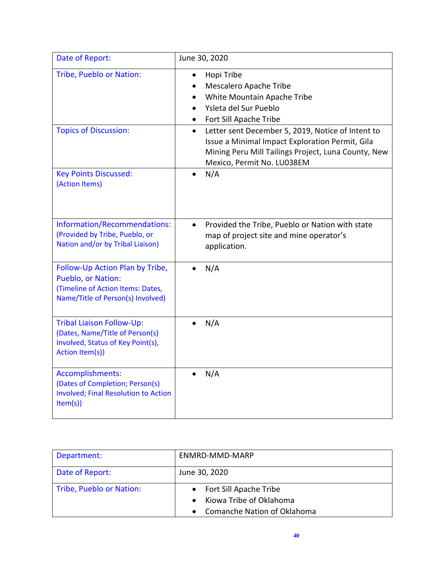| Date of Report:                                                                                                                 | June 30, 2020                                                                                                                                                                                          |
|---------------------------------------------------------------------------------------------------------------------------------|--------------------------------------------------------------------------------------------------------------------------------------------------------------------------------------------------------|
| Tribe, Pueblo or Nation:                                                                                                        | Hopi Tribe<br>$\bullet$<br>Mescalero Apache Tribe<br>White Mountain Apache Tribe<br>Ysleta del Sur Pueblo<br>$\bullet$<br>Fort Sill Apache Tribe<br>$\bullet$                                          |
| <b>Topics of Discussion:</b>                                                                                                    | Letter sent December 5, 2019, Notice of Intent to<br>$\bullet$<br>Issue a Minimal Impact Exploration Permit, Gila<br>Mining Peru Mill Tailings Project, Luna County, New<br>Mexico, Permit No. LU038EM |
| <b>Key Points Discussed:</b><br>(Action Items)                                                                                  | N/A                                                                                                                                                                                                    |
| Information/Recommendations:<br>(Provided by Tribe, Pueblo, or<br>Nation and/or by Tribal Liaison)                              | Provided the Tribe, Pueblo or Nation with state<br>$\bullet$<br>map of project site and mine operator's<br>application.                                                                                |
| Follow-Up Action Plan by Tribe,<br>Pueblo, or Nation:<br>(Timeline of Action Items: Dates,<br>Name/Title of Person(s) Involved) | N/A                                                                                                                                                                                                    |
| <b>Tribal Liaison Follow-Up:</b><br>(Dates, Name/Title of Person(s)<br>Involved, Status of Key Point(s),<br>Action Item(s))     | N/A                                                                                                                                                                                                    |
| Accomplishments:<br>(Dates of Completion; Person(s)<br>Involved; Final Resolution to Action<br>Item(s)                          | N/A                                                                                                                                                                                                    |

| Department:              | ENMRD-MMD-MARP                                  |
|--------------------------|-------------------------------------------------|
| Date of Report:          | June 30, 2020                                   |
| Tribe, Pueblo or Nation: | • Fort Sill Apache Tribe                        |
|                          | Kiowa Tribe of Oklahoma<br>$\bullet$            |
|                          | <b>Comanche Nation of Oklahoma</b><br>$\bullet$ |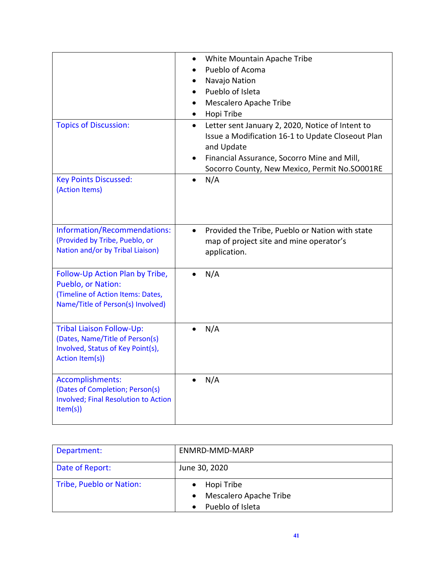|                                                                                                                                 | White Mountain Apache Tribe<br>$\bullet$<br>Pueblo of Acoma<br>$\bullet$<br>Navajo Nation<br>$\bullet$<br>Pueblo of Isleta<br>$\bullet$<br>Mescalero Apache Tribe<br>$\bullet$<br>Hopi Tribe<br>$\bullet$                        |
|---------------------------------------------------------------------------------------------------------------------------------|----------------------------------------------------------------------------------------------------------------------------------------------------------------------------------------------------------------------------------|
| <b>Topics of Discussion:</b>                                                                                                    | Letter sent January 2, 2020, Notice of Intent to<br>$\bullet$<br>Issue a Modification 16-1 to Update Closeout Plan<br>and Update<br>Financial Assurance, Socorro Mine and Mill,<br>Socorro County, New Mexico, Permit No.SO001RE |
| <b>Key Points Discussed:</b><br>(Action Items)                                                                                  | N/A                                                                                                                                                                                                                              |
| Information/Recommendations:<br>(Provided by Tribe, Pueblo, or<br>Nation and/or by Tribal Liaison)                              | Provided the Tribe, Pueblo or Nation with state<br>$\bullet$<br>map of project site and mine operator's<br>application.                                                                                                          |
| Follow-Up Action Plan by Tribe,<br>Pueblo, or Nation:<br>(Timeline of Action Items: Dates,<br>Name/Title of Person(s) Involved) | N/A                                                                                                                                                                                                                              |
| <b>Tribal Liaison Follow-Up:</b><br>(Dates, Name/Title of Person(s)<br>Involved, Status of Key Point(s),<br>Action Item(s))     | N/A                                                                                                                                                                                                                              |
| Accomplishments:<br>(Dates of Completion; Person(s)<br><b>Involved; Final Resolution to Action</b><br>Item(s)                   | N/A                                                                                                                                                                                                                              |

| Department:              | ENMRD-MMD-MARP                                           |
|--------------------------|----------------------------------------------------------|
| Date of Report:          | June 30, 2020                                            |
| Tribe, Pueblo or Nation: | Hopi Tribe<br>Mescalero Apache Tribe<br>Pueblo of Isleta |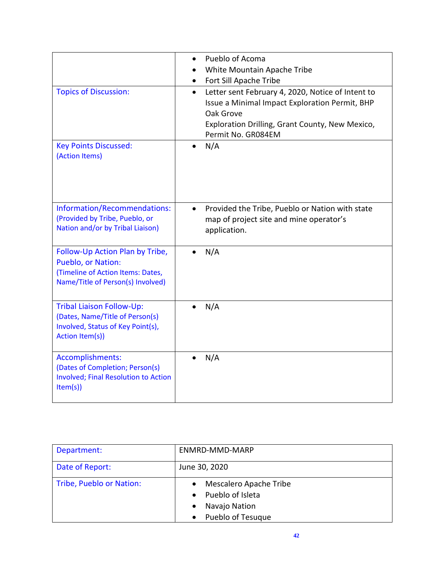|                                                                                                                                 | Pueblo of Acoma<br>White Mountain Apache Tribe<br>Fort Sill Apache Tribe                                                                                                                               |
|---------------------------------------------------------------------------------------------------------------------------------|--------------------------------------------------------------------------------------------------------------------------------------------------------------------------------------------------------|
| <b>Topics of Discussion:</b>                                                                                                    | Letter sent February 4, 2020, Notice of Intent to<br>$\bullet$<br>Issue a Minimal Impact Exploration Permit, BHP<br>Oak Grove<br>Exploration Drilling, Grant County, New Mexico,<br>Permit No. GR084EM |
| <b>Key Points Discussed:</b><br>(Action Items)                                                                                  | N/A                                                                                                                                                                                                    |
| Information/Recommendations:<br>(Provided by Tribe, Pueblo, or<br>Nation and/or by Tribal Liaison)                              | Provided the Tribe, Pueblo or Nation with state<br>map of project site and mine operator's<br>application.                                                                                             |
| Follow-Up Action Plan by Tribe,<br>Pueblo, or Nation:<br>(Timeline of Action Items: Dates,<br>Name/Title of Person(s) Involved) | N/A                                                                                                                                                                                                    |
| <b>Tribal Liaison Follow-Up:</b><br>(Dates, Name/Title of Person(s)<br>Involved, Status of Key Point(s),<br>Action Item(s))     | N/A                                                                                                                                                                                                    |
| Accomplishments:<br>(Dates of Completion; Person(s)<br><b>Involved; Final Resolution to Action</b><br>Item(s)                   | N/A                                                                                                                                                                                                    |

| Department:              | ENMRD-MMD-MARP                                                                     |
|--------------------------|------------------------------------------------------------------------------------|
| Date of Report:          | June 30, 2020                                                                      |
| Tribe, Pueblo or Nation: | Mescalero Apache Tribe<br>Pueblo of Isleta<br>Navajo Nation<br>• Pueblo of Tesuque |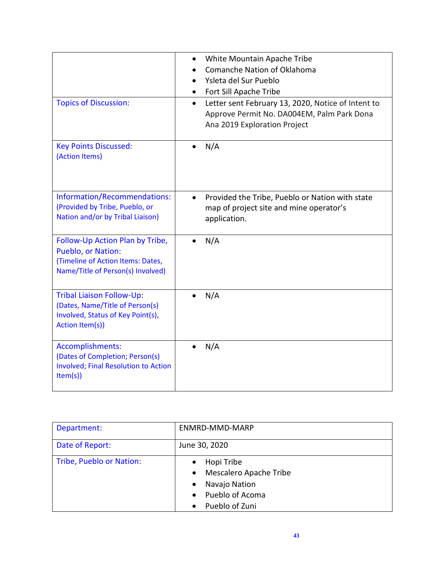| <b>Topics of Discussion:</b>                                                                                                    | White Mountain Apache Tribe<br>$\bullet$<br>Comanche Nation of Oklahoma<br>Ysleta del Sur Pueblo<br>Fort Sill Apache Tribe<br>Letter sent February 13, 2020, Notice of Intent to<br>$\bullet$<br>Approve Permit No. DA004EM, Palm Park Dona<br>Ana 2019 Exploration Project |
|---------------------------------------------------------------------------------------------------------------------------------|-----------------------------------------------------------------------------------------------------------------------------------------------------------------------------------------------------------------------------------------------------------------------------|
| <b>Key Points Discussed:</b><br>(Action Items)                                                                                  | N/A                                                                                                                                                                                                                                                                         |
| Information/Recommendations:<br>(Provided by Tribe, Pueblo, or<br>Nation and/or by Tribal Liaison)                              | Provided the Tribe, Pueblo or Nation with state<br>$\bullet$<br>map of project site and mine operator's<br>application.                                                                                                                                                     |
| Follow-Up Action Plan by Tribe,<br>Pueblo, or Nation:<br>(Timeline of Action Items: Dates,<br>Name/Title of Person(s) Involved) | N/A                                                                                                                                                                                                                                                                         |
| Tribal Liaison Follow-Up:<br>(Dates, Name/Title of Person(s)<br>Involved, Status of Key Point(s),<br>Action Item(s))            | N/A                                                                                                                                                                                                                                                                         |
| Accomplishments:<br>(Dates of Completion; Person(s)<br><b>Involved; Final Resolution to Action</b><br>Item(s)                   | N/A                                                                                                                                                                                                                                                                         |

| Department:              | ENMRD-MMD-MARP                                                                                          |
|--------------------------|---------------------------------------------------------------------------------------------------------|
| Date of Report:          | June 30, 2020                                                                                           |
| Tribe, Pueblo or Nation: | Hopi Tribe<br>Mescalero Apache Tribe<br>Navajo Nation<br>Pueblo of Acoma<br>Pueblo of Zuni<br>$\bullet$ |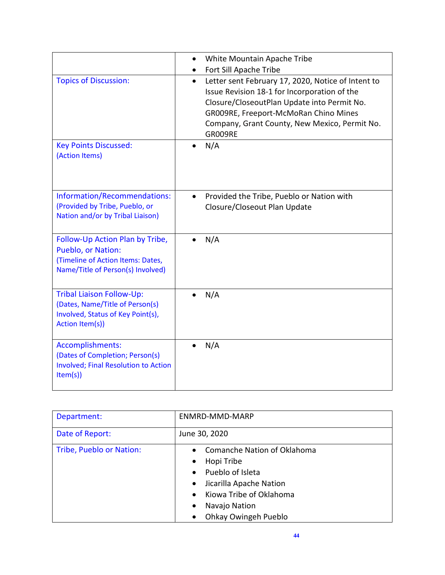|                                                                                                                                 | White Mountain Apache Tribe<br>$\bullet$<br>Fort Sill Apache Tribe                                                                                                                                                                                                  |
|---------------------------------------------------------------------------------------------------------------------------------|---------------------------------------------------------------------------------------------------------------------------------------------------------------------------------------------------------------------------------------------------------------------|
| <b>Topics of Discussion:</b>                                                                                                    | Letter sent February 17, 2020, Notice of Intent to<br>$\bullet$<br>Issue Revision 18-1 for Incorporation of the<br>Closure/CloseoutPlan Update into Permit No.<br>GR009RE, Freeport-McMoRan Chino Mines<br>Company, Grant County, New Mexico, Permit No.<br>GR009RE |
| <b>Key Points Discussed:</b><br>(Action Items)                                                                                  | N/A                                                                                                                                                                                                                                                                 |
| Information/Recommendations:<br>(Provided by Tribe, Pueblo, or<br>Nation and/or by Tribal Liaison)                              | Provided the Tribe, Pueblo or Nation with<br>$\bullet$<br>Closure/Closeout Plan Update                                                                                                                                                                              |
| Follow-Up Action Plan by Tribe,<br>Pueblo, or Nation:<br>(Timeline of Action Items: Dates,<br>Name/Title of Person(s) Involved) | N/A                                                                                                                                                                                                                                                                 |
| <b>Tribal Liaison Follow-Up:</b><br>(Dates, Name/Title of Person(s)<br>Involved, Status of Key Point(s),<br>Action Item(s))     | N/A                                                                                                                                                                                                                                                                 |
| Accomplishments:<br>(Dates of Completion; Person(s)<br><b>Involved; Final Resolution to Action</b><br>Item(s)                   | N/A                                                                                                                                                                                                                                                                 |

| Department:              | ENMRD-MMD-MARP                                                                                                                                                                         |
|--------------------------|----------------------------------------------------------------------------------------------------------------------------------------------------------------------------------------|
| Date of Report:          | June 30, 2020                                                                                                                                                                          |
| Tribe, Pueblo or Nation: | Comanche Nation of Oklahoma<br>Hopi Tribe<br>Pueblo of Isleta<br>$\bullet$<br>Jicarilla Apache Nation<br>$\bullet$<br>Kiowa Tribe of Oklahoma<br>Navajo Nation<br>Ohkay Owingeh Pueblo |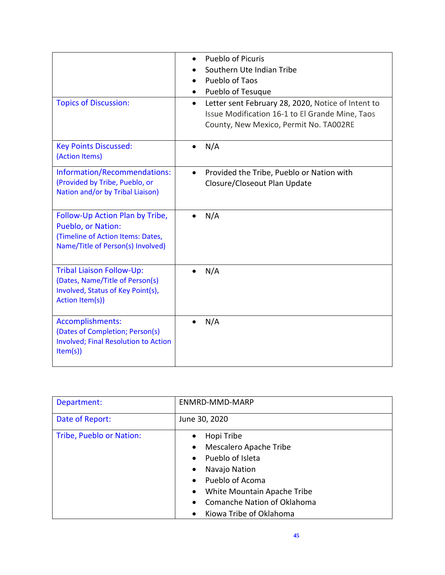| <b>Topics of Discussion:</b>                                                                                                           | <b>Pueblo of Picuris</b><br>$\bullet$<br>Southern Ute Indian Tribe<br>Pueblo of Taos<br>Pueblo of Tesuque<br>Letter sent February 28, 2020, Notice of Intent to<br>$\bullet$<br>Issue Modification 16-1 to El Grande Mine, Taos<br>County, New Mexico, Permit No. TA002RE |
|----------------------------------------------------------------------------------------------------------------------------------------|---------------------------------------------------------------------------------------------------------------------------------------------------------------------------------------------------------------------------------------------------------------------------|
| <b>Key Points Discussed:</b><br>(Action Items)                                                                                         | N/A<br>$\bullet$                                                                                                                                                                                                                                                          |
| Information/Recommendations:<br>(Provided by Tribe, Pueblo, or<br>Nation and/or by Tribal Liaison)                                     | Provided the Tribe, Pueblo or Nation with<br>$\bullet$<br>Closure/Closeout Plan Update                                                                                                                                                                                    |
| Follow-Up Action Plan by Tribe,<br><b>Pueblo, or Nation:</b><br>(Timeline of Action Items: Dates,<br>Name/Title of Person(s) Involved) | N/A                                                                                                                                                                                                                                                                       |
| <b>Tribal Liaison Follow-Up:</b><br>(Dates, Name/Title of Person(s)<br>Involved, Status of Key Point(s),<br>Action Item(s))            | N/A                                                                                                                                                                                                                                                                       |
| Accomplishments:<br>(Dates of Completion; Person(s)<br><b>Involved; Final Resolution to Action</b><br>Item(s)                          | N/A                                                                                                                                                                                                                                                                       |

| Department:              | ENMRD-MMD-MARP                           |
|--------------------------|------------------------------------------|
| Date of Report:          | June 30, 2020                            |
| Tribe, Pueblo or Nation: | Hopi Tribe<br>$\bullet$                  |
|                          | Mescalero Apache Tribe<br>$\bullet$      |
|                          | Pueblo of Isleta<br>$\bullet$            |
|                          | Navajo Nation<br>$\bullet$               |
|                          | Pueblo of Acoma<br>$\bullet$             |
|                          | White Mountain Apache Tribe<br>$\bullet$ |
|                          | Comanche Nation of Oklahoma<br>$\bullet$ |
|                          | Kiowa Tribe of Oklahoma<br>$\bullet$     |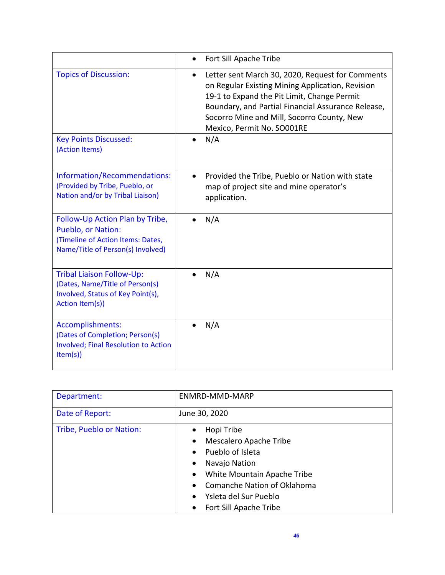|                                                                                                                                 | Fort Sill Apache Tribe                                                                                                                                                                                                                                                                             |
|---------------------------------------------------------------------------------------------------------------------------------|----------------------------------------------------------------------------------------------------------------------------------------------------------------------------------------------------------------------------------------------------------------------------------------------------|
| <b>Topics of Discussion:</b>                                                                                                    | Letter sent March 30, 2020, Request for Comments<br>$\bullet$<br>on Regular Existing Mining Application, Revision<br>19-1 to Expand the Pit Limit, Change Permit<br>Boundary, and Partial Financial Assurance Release,<br>Socorro Mine and Mill, Socorro County, New<br>Mexico, Permit No. SO001RE |
| <b>Key Points Discussed:</b><br>(Action Items)                                                                                  | N/A<br>$\bullet$                                                                                                                                                                                                                                                                                   |
| Information/Recommendations:<br>(Provided by Tribe, Pueblo, or<br>Nation and/or by Tribal Liaison)                              | Provided the Tribe, Pueblo or Nation with state<br>map of project site and mine operator's<br>application.                                                                                                                                                                                         |
| Follow-Up Action Plan by Tribe,<br>Pueblo, or Nation:<br>(Timeline of Action Items: Dates,<br>Name/Title of Person(s) Involved) | N/A                                                                                                                                                                                                                                                                                                |
| <b>Tribal Liaison Follow-Up:</b><br>(Dates, Name/Title of Person(s)<br>Involved, Status of Key Point(s),<br>Action Item(s))     | N/A                                                                                                                                                                                                                                                                                                |
| Accomplishments:<br>(Dates of Completion; Person(s)<br><b>Involved; Final Resolution to Action</b><br>Item(s)                   | N/A                                                                                                                                                                                                                                                                                                |

| Department:              | ENMRD-MMD-MARP                           |
|--------------------------|------------------------------------------|
| Date of Report:          | June 30, 2020                            |
| Tribe, Pueblo or Nation: | Hopi Tribe<br>$\bullet$                  |
|                          | Mescalero Apache Tribe<br>$\bullet$      |
|                          | Pueblo of Isleta<br>$\bullet$            |
|                          | Navajo Nation                            |
|                          | White Mountain Apache Tribe<br>$\bullet$ |
|                          | <b>Comanche Nation of Oklahoma</b>       |
|                          | Ysleta del Sur Pueblo<br>$\bullet$       |
|                          | Fort Sill Apache Tribe<br>$\bullet$      |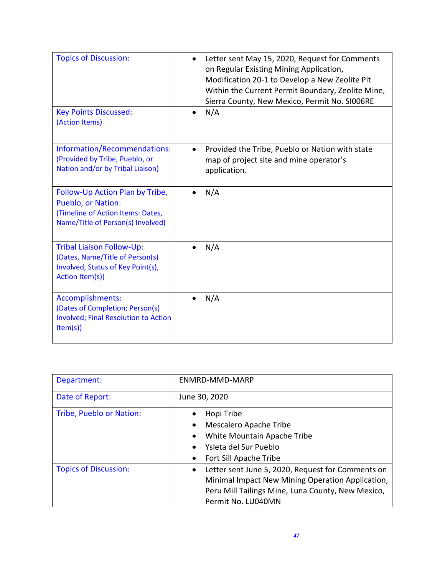| <b>Topics of Discussion:</b>                                                                                                    | Letter sent May 15, 2020, Request for Comments<br>on Regular Existing Mining Application,<br>Modification 20-1 to Develop a New Zeolite Pit<br>Within the Current Permit Boundary, Zeolite Mine,<br>Sierra County, New Mexico, Permit No. SI006RE |
|---------------------------------------------------------------------------------------------------------------------------------|---------------------------------------------------------------------------------------------------------------------------------------------------------------------------------------------------------------------------------------------------|
| <b>Key Points Discussed:</b><br>(Action Items)                                                                                  | N/A                                                                                                                                                                                                                                               |
| Information/Recommendations:<br>(Provided by Tribe, Pueblo, or<br>Nation and/or by Tribal Liaison)                              | Provided the Tribe, Pueblo or Nation with state<br>map of project site and mine operator's<br>application.                                                                                                                                        |
| Follow-Up Action Plan by Tribe,<br>Pueblo, or Nation:<br>(Timeline of Action Items: Dates,<br>Name/Title of Person(s) Involved) | N/A                                                                                                                                                                                                                                               |
| <b>Tribal Liaison Follow-Up:</b><br>(Dates, Name/Title of Person(s)<br>Involved, Status of Key Point(s),<br>Action Item(s))     | N/A                                                                                                                                                                                                                                               |
| Accomplishments:<br>(Dates of Completion; Person(s)<br><b>Involved; Final Resolution to Action</b><br>Item(s)                   | N/A                                                                                                                                                                                                                                               |

| Department:                  | ENMRD-MMD-MARP                                                 |
|------------------------------|----------------------------------------------------------------|
| Date of Report:              | June 30, 2020                                                  |
| Tribe, Pueblo or Nation:     | Hopi Tribe                                                     |
|                              | Mescalero Apache Tribe                                         |
|                              | White Mountain Apache Tribe                                    |
|                              | Ysleta del Sur Pueblo                                          |
|                              | Fort Sill Apache Tribe                                         |
| <b>Topics of Discussion:</b> | Letter sent June 5, 2020, Request for Comments on<br>$\bullet$ |
|                              | Minimal Impact New Mining Operation Application,               |
|                              | Peru Mill Tailings Mine, Luna County, New Mexico,              |
|                              | Permit No. LU040MN                                             |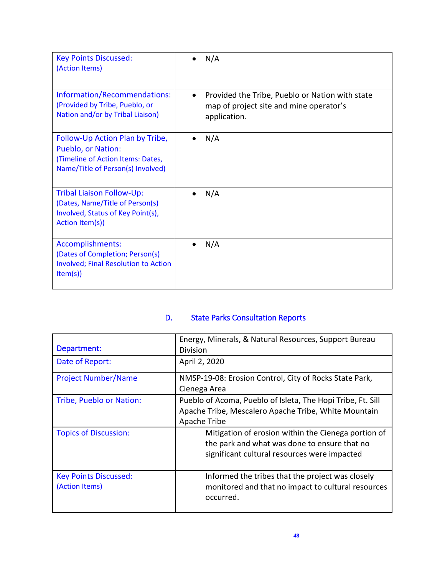| <b>Key Points Discussed:</b><br>(Action Items)                                                                                         | N/A                                                                                                        |
|----------------------------------------------------------------------------------------------------------------------------------------|------------------------------------------------------------------------------------------------------------|
| Information/Recommendations:<br>(Provided by Tribe, Pueblo, or<br>Nation and/or by Tribal Liaison)                                     | Provided the Tribe, Pueblo or Nation with state<br>map of project site and mine operator's<br>application. |
| Follow-Up Action Plan by Tribe,<br><b>Pueblo, or Nation:</b><br>(Timeline of Action Items: Dates,<br>Name/Title of Person(s) Involved) | N/A                                                                                                        |
| <b>Tribal Liaison Follow-Up:</b><br>(Dates, Name/Title of Person(s)<br>Involved, Status of Key Point(s),<br>Action Item(s))            | N/A                                                                                                        |
| Accomplishments:<br>(Dates of Completion; Person(s)<br><b>Involved; Final Resolution to Action</b><br>Item(s)                          | N/A                                                                                                        |

# D. State Parks Consultation Reports

| Department:                                    | Energy, Minerals, & Natural Resources, Support Bureau<br>Division                                                                                   |
|------------------------------------------------|-----------------------------------------------------------------------------------------------------------------------------------------------------|
| Date of Report:                                | April 2, 2020                                                                                                                                       |
| <b>Project Number/Name</b>                     | NMSP-19-08: Erosion Control, City of Rocks State Park,<br>Cienega Area                                                                              |
| Tribe, Pueblo or Nation:                       | Pueblo of Acoma, Pueblo of Isleta, The Hopi Tribe, Ft. Sill<br>Apache Tribe, Mescalero Apache Tribe, White Mountain<br>Apache Tribe                 |
| <b>Topics of Discussion:</b>                   | Mitigation of erosion within the Cienega portion of<br>the park and what was done to ensure that no<br>significant cultural resources were impacted |
| <b>Key Points Discussed:</b><br>(Action Items) | Informed the tribes that the project was closely<br>monitored and that no impact to cultural resources<br>occurred.                                 |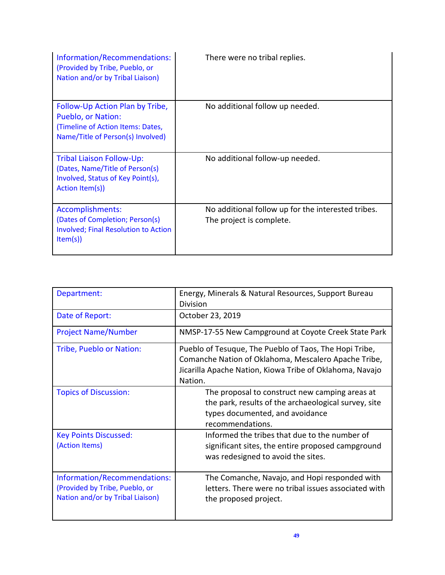| Information/Recommendations:<br>(Provided by Tribe, Pueblo, or<br>Nation and/or by Tribal Liaison)                              | There were no tribal replies.                                                  |
|---------------------------------------------------------------------------------------------------------------------------------|--------------------------------------------------------------------------------|
| Follow-Up Action Plan by Tribe,<br>Pueblo, or Nation:<br>(Timeline of Action Items: Dates,<br>Name/Title of Person(s) Involved) | No additional follow up needed.                                                |
| Tribal Liaison Follow-Up:<br>(Dates, Name/Title of Person(s)<br>Involved, Status of Key Point(s),<br>Action Item(s))            | No additional follow-up needed.                                                |
| Accomplishments:<br>(Dates of Completion; Person(s)<br><b>Involved; Final Resolution to Action</b><br>Item(s)                   | No additional follow up for the interested tribes.<br>The project is complete. |

| Department:                                                                                        | Energy, Minerals & Natural Resources, Support Bureau<br>Division                                                                                                                      |
|----------------------------------------------------------------------------------------------------|---------------------------------------------------------------------------------------------------------------------------------------------------------------------------------------|
| Date of Report:                                                                                    | October 23, 2019                                                                                                                                                                      |
| <b>Project Name/Number</b>                                                                         | NMSP-17-55 New Campground at Coyote Creek State Park                                                                                                                                  |
| Tribe, Pueblo or Nation:                                                                           | Pueblo of Tesuque, The Pueblo of Taos, The Hopi Tribe,<br>Comanche Nation of Oklahoma, Mescalero Apache Tribe,<br>Jicarilla Apache Nation, Kiowa Tribe of Oklahoma, Navajo<br>Nation. |
| <b>Topics of Discussion:</b>                                                                       | The proposal to construct new camping areas at<br>the park, results of the archaeological survey, site<br>types documented, and avoidance<br>recommendations.                         |
| <b>Key Points Discussed:</b><br>(Action Items)                                                     | Informed the tribes that due to the number of<br>significant sites, the entire proposed campground<br>was redesigned to avoid the sites.                                              |
| Information/Recommendations:<br>(Provided by Tribe, Pueblo, or<br>Nation and/or by Tribal Liaison) | The Comanche, Navajo, and Hopi responded with<br>letters. There were no tribal issues associated with<br>the proposed project.                                                        |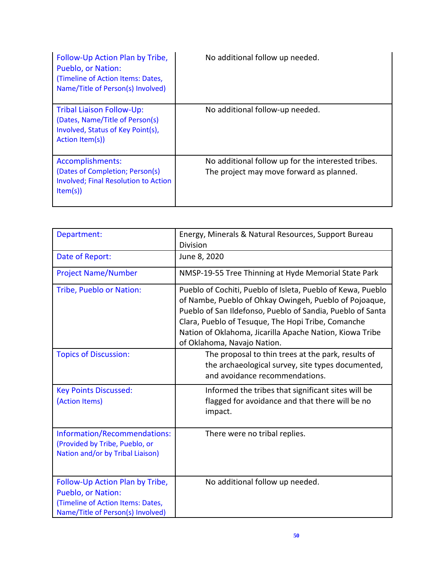| Follow-Up Action Plan by Tribe,<br><b>Pueblo, or Nation:</b><br>(Timeline of Action Items: Dates,<br>Name/Title of Person(s) Involved) | No additional follow up needed.                                                                |
|----------------------------------------------------------------------------------------------------------------------------------------|------------------------------------------------------------------------------------------------|
| <b>Tribal Liaison Follow-Up:</b><br>(Dates, Name/Title of Person(s)<br>Involved, Status of Key Point(s),<br>Action Item(s))            | No additional follow-up needed.                                                                |
| Accomplishments:<br>(Dates of Completion; Person(s)<br><b>Involved; Final Resolution to Action</b><br>Item(s)                          | No additional follow up for the interested tribes.<br>The project may move forward as planned. |

| Department:                                                                                                                     | Energy, Minerals & Natural Resources, Support Bureau<br><b>Division</b>                                                                                                                                                                                                                                                              |
|---------------------------------------------------------------------------------------------------------------------------------|--------------------------------------------------------------------------------------------------------------------------------------------------------------------------------------------------------------------------------------------------------------------------------------------------------------------------------------|
| Date of Report:                                                                                                                 | June 8, 2020                                                                                                                                                                                                                                                                                                                         |
| <b>Project Name/Number</b>                                                                                                      | NMSP-19-55 Tree Thinning at Hyde Memorial State Park                                                                                                                                                                                                                                                                                 |
| Tribe, Pueblo or Nation:                                                                                                        | Pueblo of Cochiti, Pueblo of Isleta, Pueblo of Kewa, Pueblo<br>of Nambe, Pueblo of Ohkay Owingeh, Pueblo of Pojoaque,<br>Pueblo of San Ildefonso, Pueblo of Sandia, Pueblo of Santa<br>Clara, Pueblo of Tesuque, The Hopi Tribe, Comanche<br>Nation of Oklahoma, Jicarilla Apache Nation, Kiowa Tribe<br>of Oklahoma, Navajo Nation. |
| <b>Topics of Discussion:</b>                                                                                                    | The proposal to thin trees at the park, results of<br>the archaeological survey, site types documented,<br>and avoidance recommendations.                                                                                                                                                                                            |
| <b>Key Points Discussed:</b><br>(Action Items)                                                                                  | Informed the tribes that significant sites will be<br>flagged for avoidance and that there will be no<br>impact.                                                                                                                                                                                                                     |
| Information/Recommendations:<br>(Provided by Tribe, Pueblo, or<br>Nation and/or by Tribal Liaison)                              | There were no tribal replies.                                                                                                                                                                                                                                                                                                        |
| Follow-Up Action Plan by Tribe,<br>Pueblo, or Nation:<br>(Timeline of Action Items: Dates,<br>Name/Title of Person(s) Involved) | No additional follow up needed.                                                                                                                                                                                                                                                                                                      |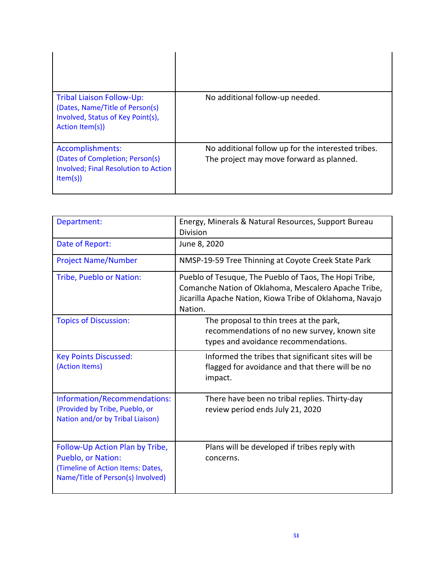| Tribal Liaison Follow-Up:<br>(Dates, Name/Title of Person(s)<br>Involved, Status of Key Point(s),<br>Action Item(s)) | No additional follow-up needed.                                                                |
|----------------------------------------------------------------------------------------------------------------------|------------------------------------------------------------------------------------------------|
| Accomplishments:<br>(Dates of Completion; Person(s)<br><b>Involved</b> ; Final Resolution to Action<br>Item(s)       | No additional follow up for the interested tribes.<br>The project may move forward as planned. |

| Department:                                                                                                                            | Energy, Minerals & Natural Resources, Support Bureau<br>Division                                                                                                                      |
|----------------------------------------------------------------------------------------------------------------------------------------|---------------------------------------------------------------------------------------------------------------------------------------------------------------------------------------|
| Date of Report:                                                                                                                        | June 8, 2020                                                                                                                                                                          |
| <b>Project Name/Number</b>                                                                                                             | NMSP-19-59 Tree Thinning at Coyote Creek State Park                                                                                                                                   |
| Tribe, Pueblo or Nation:                                                                                                               | Pueblo of Tesuque, The Pueblo of Taos, The Hopi Tribe,<br>Comanche Nation of Oklahoma, Mescalero Apache Tribe,<br>Jicarilla Apache Nation, Kiowa Tribe of Oklahoma, Navajo<br>Nation. |
| <b>Topics of Discussion:</b>                                                                                                           | The proposal to thin trees at the park,<br>recommendations of no new survey, known site<br>types and avoidance recommendations.                                                       |
| <b>Key Points Discussed:</b><br>(Action Items)                                                                                         | Informed the tribes that significant sites will be<br>flagged for avoidance and that there will be no<br>impact.                                                                      |
| Information/Recommendations:<br>(Provided by Tribe, Pueblo, or<br>Nation and/or by Tribal Liaison)                                     | There have been no tribal replies. Thirty-day<br>review period ends July 21, 2020                                                                                                     |
| Follow-Up Action Plan by Tribe,<br><b>Pueblo, or Nation:</b><br>(Timeline of Action Items: Dates,<br>Name/Title of Person(s) Involved) | Plans will be developed if tribes reply with<br>concerns.                                                                                                                             |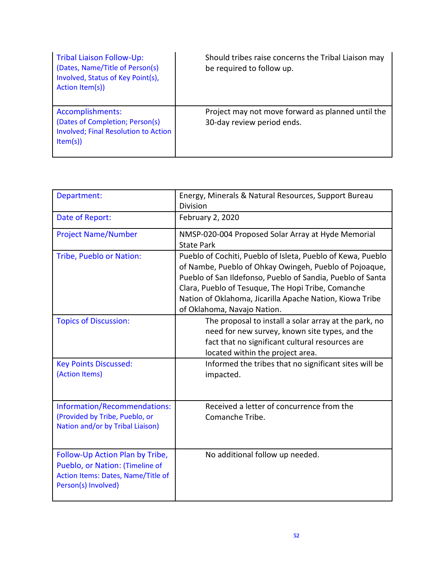| Tribal Liaison Follow-Up:<br>(Dates, Name/Title of Person(s)<br>Involved, Status of Key Point(s),<br>Action Item(s)) | Should tribes raise concerns the Tribal Liaison may<br>be required to follow up. |
|----------------------------------------------------------------------------------------------------------------------|----------------------------------------------------------------------------------|
| Accomplishments:<br>(Dates of Completion; Person(s)<br><b>Involved; Final Resolution to Action</b><br>Item(s)        | Project may not move forward as planned until the<br>30-day review period ends.  |

| Department:                                                                                                                     | Energy, Minerals & Natural Resources, Support Bureau<br><b>Division</b>                                                                                                                                                                                                                                                              |
|---------------------------------------------------------------------------------------------------------------------------------|--------------------------------------------------------------------------------------------------------------------------------------------------------------------------------------------------------------------------------------------------------------------------------------------------------------------------------------|
| Date of Report:                                                                                                                 | February 2, 2020                                                                                                                                                                                                                                                                                                                     |
| <b>Project Name/Number</b>                                                                                                      | NMSP-020-004 Proposed Solar Array at Hyde Memorial<br><b>State Park</b>                                                                                                                                                                                                                                                              |
| Tribe, Pueblo or Nation:                                                                                                        | Pueblo of Cochiti, Pueblo of Isleta, Pueblo of Kewa, Pueblo<br>of Nambe, Pueblo of Ohkay Owingeh, Pueblo of Pojoaque,<br>Pueblo of San Ildefonso, Pueblo of Sandia, Pueblo of Santa<br>Clara, Pueblo of Tesuque, The Hopi Tribe, Comanche<br>Nation of Oklahoma, Jicarilla Apache Nation, Kiowa Tribe<br>of Oklahoma, Navajo Nation. |
| <b>Topics of Discussion:</b>                                                                                                    | The proposal to install a solar array at the park, no<br>need for new survey, known site types, and the<br>fact that no significant cultural resources are<br>located within the project area.                                                                                                                                       |
| <b>Key Points Discussed:</b><br>(Action Items)                                                                                  | Informed the tribes that no significant sites will be<br>impacted.                                                                                                                                                                                                                                                                   |
| Information/Recommendations:<br>(Provided by Tribe, Pueblo, or<br>Nation and/or by Tribal Liaison)                              | Received a letter of concurrence from the<br>Comanche Tribe.                                                                                                                                                                                                                                                                         |
| Follow-Up Action Plan by Tribe,<br>Pueblo, or Nation: (Timeline of<br>Action Items: Dates, Name/Title of<br>Person(s) Involved) | No additional follow up needed.                                                                                                                                                                                                                                                                                                      |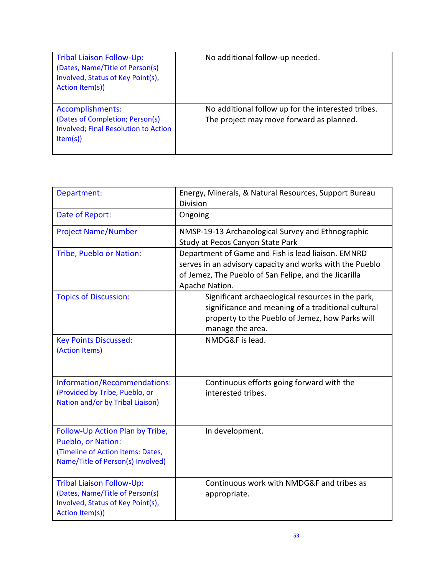| Tribal Liaison Follow-Up:<br>(Dates, Name/Title of Person(s)<br>Involved, Status of Key Point(s),<br>Action Item(s)) | No additional follow-up needed.                                                                |
|----------------------------------------------------------------------------------------------------------------------|------------------------------------------------------------------------------------------------|
| Accomplishments:<br>(Dates of Completion; Person(s)<br><b>Involved</b> ; Final Resolution to Action<br>Item(s)       | No additional follow up for the interested tribes.<br>The project may move forward as planned. |

| Department:                                                                                                                     | Energy, Minerals, & Natural Resources, Support Bureau<br><b>Division</b>                                                                                                                  |
|---------------------------------------------------------------------------------------------------------------------------------|-------------------------------------------------------------------------------------------------------------------------------------------------------------------------------------------|
| Date of Report:                                                                                                                 | Ongoing                                                                                                                                                                                   |
| <b>Project Name/Number</b>                                                                                                      | NMSP-19-13 Archaeological Survey and Ethnographic<br>Study at Pecos Canyon State Park                                                                                                     |
| Tribe, Pueblo or Nation:                                                                                                        | Department of Game and Fish is lead liaison. EMNRD<br>serves in an advisory capacity and works with the Pueblo<br>of Jemez, The Pueblo of San Felipe, and the Jicarilla<br>Apache Nation. |
| <b>Topics of Discussion:</b>                                                                                                    | Significant archaeological resources in the park,<br>significance and meaning of a traditional cultural<br>property to the Pueblo of Jemez, how Parks will<br>manage the area.            |
| <b>Key Points Discussed:</b><br>(Action Items)                                                                                  | NMDG&F is lead.                                                                                                                                                                           |
| Information/Recommendations:<br>(Provided by Tribe, Pueblo, or<br>Nation and/or by Tribal Liaison)                              | Continuous efforts going forward with the<br>interested tribes.                                                                                                                           |
| Follow-Up Action Plan by Tribe,<br>Pueblo, or Nation:<br>(Timeline of Action Items: Dates,<br>Name/Title of Person(s) Involved) | In development.                                                                                                                                                                           |
| <b>Tribal Liaison Follow-Up:</b><br>(Dates, Name/Title of Person(s)<br>Involved, Status of Key Point(s),<br>Action Item(s))     | Continuous work with NMDG&F and tribes as<br>appropriate.                                                                                                                                 |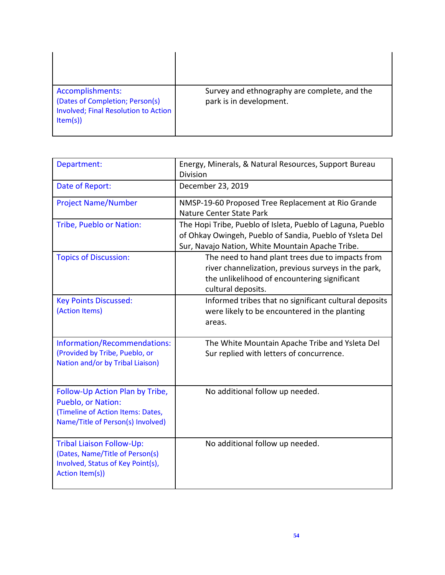| Accomplishments:<br>(Dates of Completion; Person(s)<br>Involved; Final Resolution to Action<br>Item(s) | Survey and ethnography are complete, and the<br>park is in development. |
|--------------------------------------------------------------------------------------------------------|-------------------------------------------------------------------------|

| Department:                                                                                                                     | Energy, Minerals, & Natural Resources, Support Bureau<br><b>Division</b>                                                                                                      |
|---------------------------------------------------------------------------------------------------------------------------------|-------------------------------------------------------------------------------------------------------------------------------------------------------------------------------|
| Date of Report:                                                                                                                 | December 23, 2019                                                                                                                                                             |
| <b>Project Name/Number</b>                                                                                                      | NMSP-19-60 Proposed Tree Replacement at Rio Grande<br>Nature Center State Park                                                                                                |
| Tribe, Pueblo or Nation:                                                                                                        | The Hopi Tribe, Pueblo of Isleta, Pueblo of Laguna, Pueblo<br>of Ohkay Owingeh, Pueblo of Sandia, Pueblo of Ysleta Del<br>Sur, Navajo Nation, White Mountain Apache Tribe.    |
| <b>Topics of Discussion:</b>                                                                                                    | The need to hand plant trees due to impacts from<br>river channelization, previous surveys in the park,<br>the unlikelihood of encountering significant<br>cultural deposits. |
| <b>Key Points Discussed:</b><br>(Action Items)                                                                                  | Informed tribes that no significant cultural deposits<br>were likely to be encountered in the planting<br>areas.                                                              |
| Information/Recommendations:<br>(Provided by Tribe, Pueblo, or<br>Nation and/or by Tribal Liaison)                              | The White Mountain Apache Tribe and Ysleta Del<br>Sur replied with letters of concurrence.                                                                                    |
| Follow-Up Action Plan by Tribe,<br>Pueblo, or Nation:<br>(Timeline of Action Items: Dates,<br>Name/Title of Person(s) Involved) | No additional follow up needed.                                                                                                                                               |
| <b>Tribal Liaison Follow-Up:</b><br>(Dates, Name/Title of Person(s)<br>Involved, Status of Key Point(s),<br>Action Item(s))     | No additional follow up needed.                                                                                                                                               |